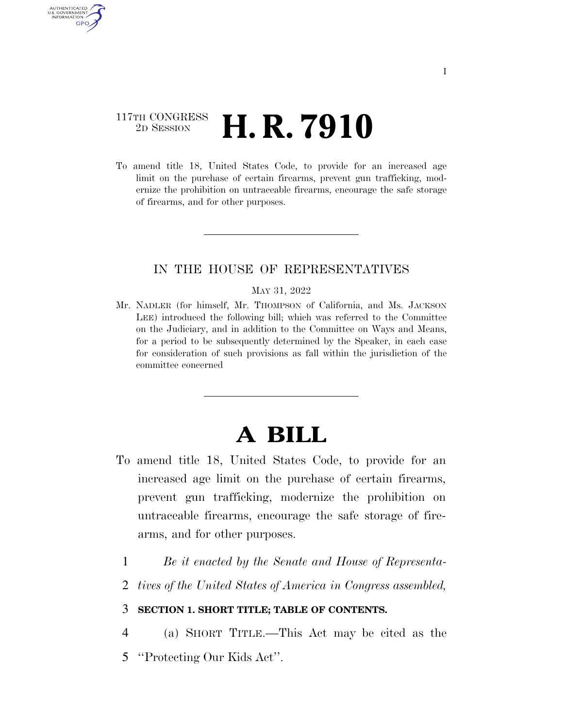# 117TH CONGRESS <sup>TH CONGRESS</sup> **H. R. 7910**

AUTHENTICATED U.S. GOVERNMENT **GPO** 

> To amend title 18, United States Code, to provide for an increased age limit on the purchase of certain firearms, prevent gun trafficking, modernize the prohibition on untraceable firearms, encourage the safe storage of firearms, and for other purposes.

# IN THE HOUSE OF REPRESENTATIVES

#### MAY 31, 2022

Mr. NADLER (for himself, Mr. THOMPSON of California, and Ms. JACKSON LEE) introduced the following bill; which was referred to the Committee on the Judiciary, and in addition to the Committee on Ways and Means, for a period to be subsequently determined by the Speaker, in each case for consideration of such provisions as fall within the jurisdiction of the committee concerned

# **A BILL**

- To amend title 18, United States Code, to provide for an increased age limit on the purchase of certain firearms, prevent gun trafficking, modernize the prohibition on untraceable firearms, encourage the safe storage of firearms, and for other purposes.
	- 1 *Be it enacted by the Senate and House of Representa-*
	- 2 *tives of the United States of America in Congress assembled,*

### 3 **SECTION 1. SHORT TITLE; TABLE OF CONTENTS.**

4 (a) SHORT TITLE.—This Act may be cited as the 5 ''Protecting Our Kids Act''.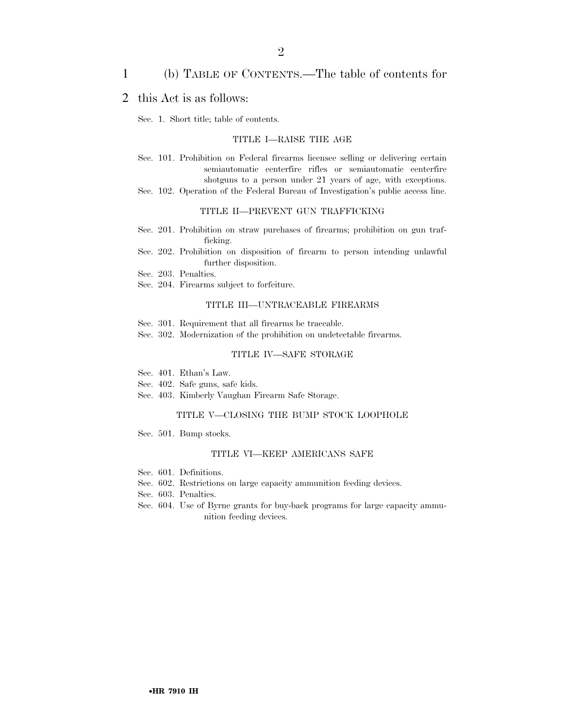### 1 (b) TABLE OF CONTENTS.—The table of contents for

### 2 this Act is as follows:

Sec. 1. Short title; table of contents.

#### TITLE I—RAISE THE AGE

- Sec. 101. Prohibition on Federal firearms licensee selling or delivering certain semiautomatic centerfire rifles or semiautomatic centerfire shotguns to a person under 21 years of age, with exceptions.
- Sec. 102. Operation of the Federal Bureau of Investigation's public access line.

#### TITLE II—PREVENT GUN TRAFFICKING

- Sec. 201. Prohibition on straw purchases of firearms; prohibition on gun trafficking.
- Sec. 202. Prohibition on disposition of firearm to person intending unlawful further disposition.
- Sec. 203. Penalties.
- Sec. 204. Firearms subject to forfeiture.

#### TITLE III—UNTRACEABLE FIREARMS

- Sec. 301. Requirement that all firearms be traceable.
- Sec. 302. Modernization of the prohibition on undetectable firearms.

#### TITLE IV—SAFE STORAGE

- Sec. 401. Ethan's Law.
- Sec. 402. Safe guns, safe kids.
- Sec. 403. Kimberly Vaughan Firearm Safe Storage.

#### TITLE V—CLOSING THE BUMP STOCK LOOPHOLE

Sec. 501. Bump stocks.

#### TITLE VI—KEEP AMERICANS SAFE

- Sec. 601. Definitions.
- Sec. 602. Restrictions on large capacity ammunition feeding devices.
- Sec. 603. Penalties.
- Sec. 604. Use of Byrne grants for buy-back programs for large capacity ammunition feeding devices.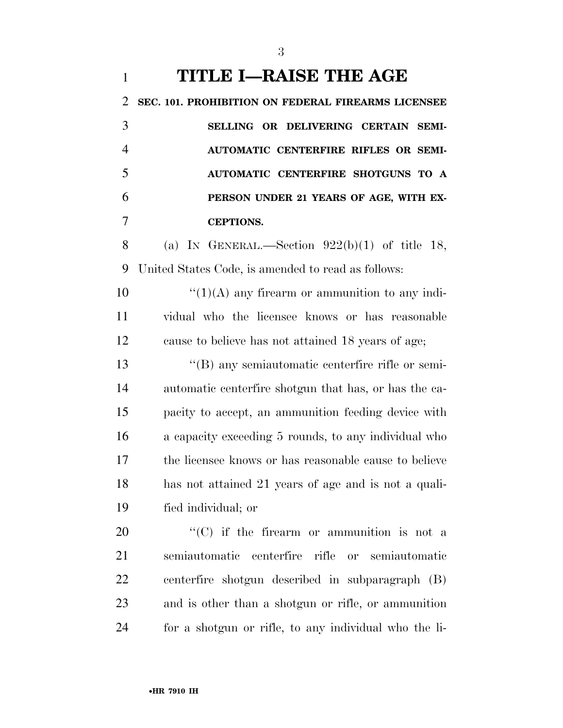# **TITLE I—RAISE THE AGE**

 **SEC. 101. PROHIBITION ON FEDERAL FIREARMS LICENSEE SELLING OR DELIVERING CERTAIN SEMI- AUTOMATIC CENTERFIRE RIFLES OR SEMI- AUTOMATIC CENTERFIRE SHOTGUNS TO A PERSON UNDER 21 YEARS OF AGE, WITH EX-CEPTIONS.** 

8 (a) IN GENERAL.—Section  $922(b)(1)$  of title 18, United States Code, is amended to read as follows:

10  $\langle (1)(A)$  any firearm or ammunition to any indi- vidual who the licensee knows or has reasonable cause to believe has not attained 18 years of age;

 ''(B) any semiautomatic centerfire rifle or semi- automatic centerfire shotgun that has, or has the ca- pacity to accept, an ammunition feeding device with a capacity exceeding 5 rounds, to any individual who the licensee knows or has reasonable cause to believe has not attained 21 years of age and is not a quali-fied individual; or

 $\langle ^{1}(C)$  if the firearm or ammunition is not a semiautomatic centerfire rifle or semiautomatic centerfire shotgun described in subparagraph (B) and is other than a shotgun or rifle, or ammunition for a shotgun or rifle, to any individual who the li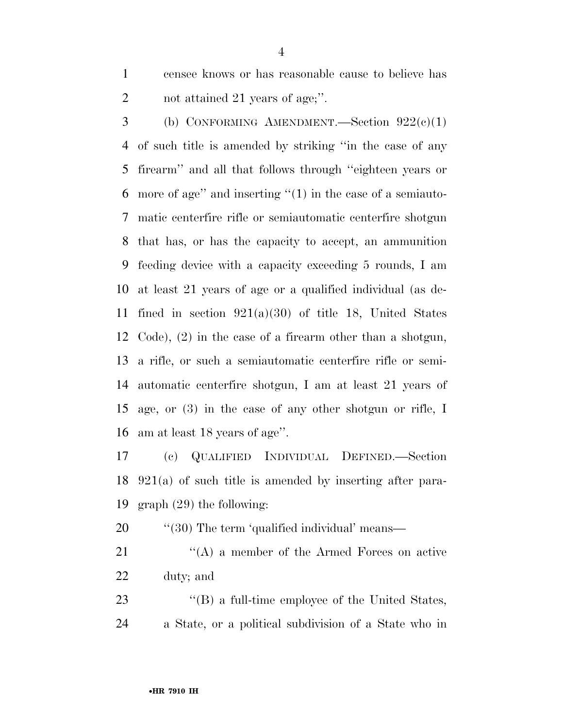censee knows or has reasonable cause to believe has 2 not attained 21 years of age;".

3 (b) CONFORMING AMENDMENT.—Section  $922(e)(1)$  of such title is amended by striking ''in the case of any firearm'' and all that follows through ''eighteen years or more of age'' and inserting ''(1) in the case of a semiauto- matic centerfire rifle or semiautomatic centerfire shotgun that has, or has the capacity to accept, an ammunition feeding device with a capacity exceeding 5 rounds, I am at least 21 years of age or a qualified individual (as de-11 fined in section  $921(a)(30)$  of title 18, United States Code), (2) in the case of a firearm other than a shotgun, a rifle, or such a semiautomatic centerfire rifle or semi- automatic centerfire shotgun, I am at least 21 years of age, or (3) in the case of any other shotgun or rifle, I am at least 18 years of age''.

 (c) QUALIFIED INDIVIDUAL DEFINED.—Section 921(a) of such title is amended by inserting after para-graph (29) the following:

20 "'(30) The term 'qualified individual' means—

21 ''(A) a member of the Armed Forces on active duty; and

23 ''(B) a full-time employee of the United States, a State, or a political subdivision of a State who in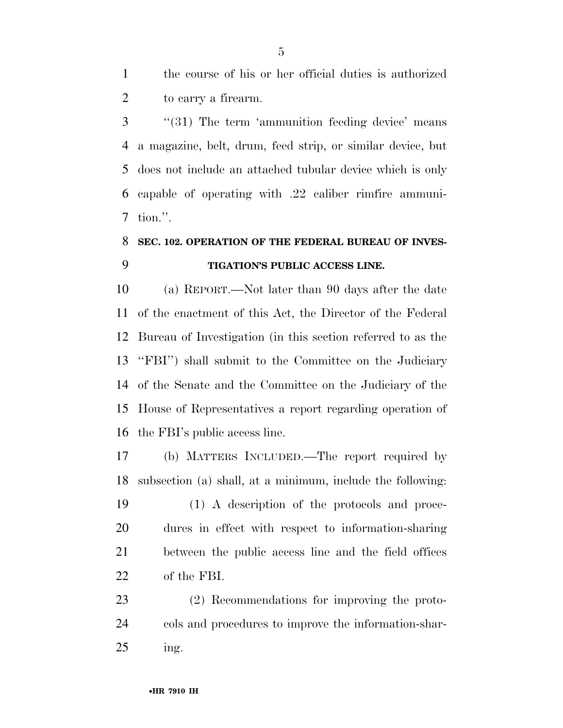the course of his or her official duties is authorized to carry a firearm.

3 "(31) The term 'ammunition feeding device' means a magazine, belt, drum, feed strip, or similar device, but does not include an attached tubular device which is only capable of operating with .22 caliber rimfire ammuni-tion.''.

# **SEC. 102. OPERATION OF THE FEDERAL BUREAU OF INVES-TIGATION'S PUBLIC ACCESS LINE.**

 (a) REPORT.—Not later than 90 days after the date of the enactment of this Act, the Director of the Federal Bureau of Investigation (in this section referred to as the ''FBI'') shall submit to the Committee on the Judiciary of the Senate and the Committee on the Judiciary of the House of Representatives a report regarding operation of the FBI's public access line.

 (b) MATTERS INCLUDED.—The report required by subsection (a) shall, at a minimum, include the following:

 (1) A description of the protocols and proce- dures in effect with respect to information-sharing between the public access line and the field offices of the FBI.

 (2) Recommendations for improving the proto- cols and procedures to improve the information-shar-ing.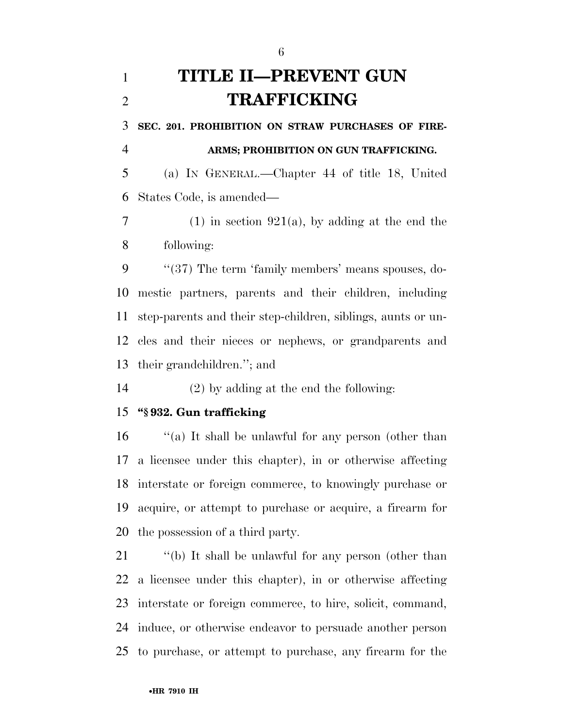# **TITLE II—PREVENT GUN TRAFFICKING**

 **SEC. 201. PROHIBITION ON STRAW PURCHASES OF FIRE-ARMS; PROHIBITION ON GUN TRAFFICKING.** 

 (a) IN GENERAL.—Chapter 44 of title 18, United States Code, is amended—

7 (1) in section 921(a), by adding at the end the following:

 ''(37) The term 'family members' means spouses, do- mestic partners, parents and their children, including step-parents and their step-children, siblings, aunts or un- cles and their nieces or nephews, or grandparents and their grandchildren.''; and

(2) by adding at the end the following:

# **''§ 932. Gun trafficking**

 ''(a) It shall be unlawful for any person (other than a licensee under this chapter), in or otherwise affecting interstate or foreign commerce, to knowingly purchase or acquire, or attempt to purchase or acquire, a firearm for the possession of a third party.

 ''(b) It shall be unlawful for any person (other than a licensee under this chapter), in or otherwise affecting interstate or foreign commerce, to hire, solicit, command, induce, or otherwise endeavor to persuade another person to purchase, or attempt to purchase, any firearm for the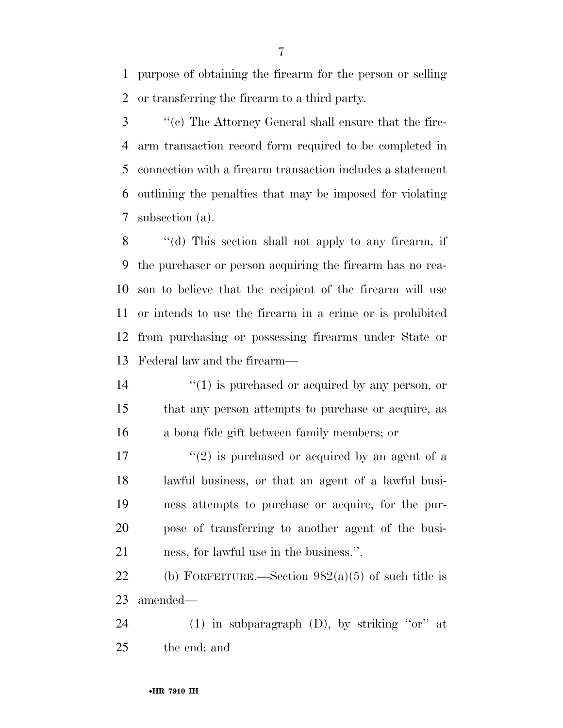purpose of obtaining the firearm for the person or selling or transferring the firearm to a third party.

 ''(c) The Attorney General shall ensure that the fire- arm transaction record form required to be completed in connection with a firearm transaction includes a statement outlining the penalties that may be imposed for violating subsection (a).

 ''(d) This section shall not apply to any firearm, if the purchaser or person acquiring the firearm has no rea- son to believe that the recipient of the firearm will use or intends to use the firearm in a crime or is prohibited from purchasing or possessing firearms under State or Federal law and the firearm—

14  $\frac{1}{2}$  (1) is purchased or acquired by any person, or that any person attempts to purchase or acquire, as a bona fide gift between family members; or

 $\binom{17}{2}$  is purchased or acquired by an agent of a lawful business, or that an agent of a lawful busi- ness attempts to purchase or acquire, for the pur- pose of transferring to another agent of the busi-ness, for lawful use in the business.''.

22 (b) FORFEITURE.—Section  $982(a)(5)$  of such title is amended—

24 (1) in subparagraph  $(D)$ , by striking "or" at the end; and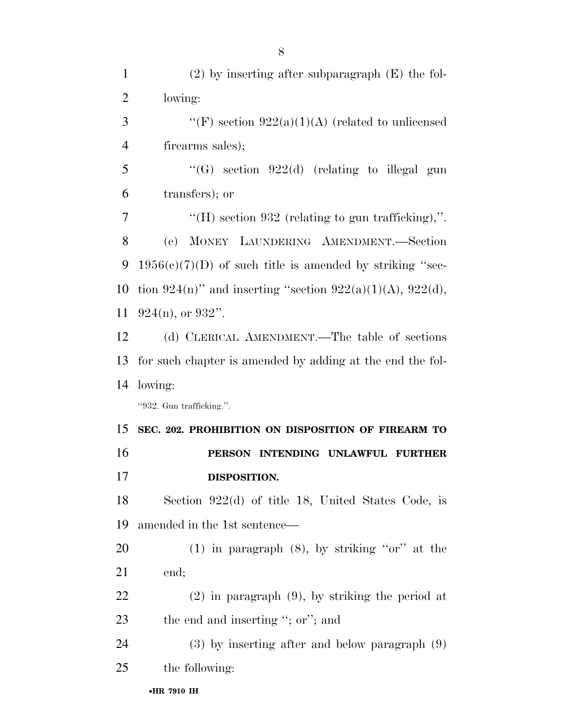| $\mathbf{1}$   | $(2)$ by inserting after subparagraph $(E)$ the fol-       |
|----------------|------------------------------------------------------------|
| $\overline{2}$ | lowing:                                                    |
| 3              | "(F) section $922(a)(1)(A)$ (related to unlicensed         |
| $\overline{4}$ | firearms sales);                                           |
| 5              | "(G) section $922(d)$ (relating to illegal gun             |
| 6              | transfers); or                                             |
| $\overline{7}$ | "(H) section 932 (relating to gun trafficking),".          |
| 8              | (c) MONEY LAUNDERING AMENDMENT.—Section                    |
| 9              | $1956(c)(7)(D)$ of such title is amended by striking "sec- |
| 10             | tion 924(n)" and inserting "section 922(a)(1)(A), 922(d),  |
| 11             | $924(n)$ , or $932$ ".                                     |
| 12             | (d) CLERICAL AMENDMENT.—The table of sections              |
| 13             | for such chapter is amended by adding at the end the fol-  |
|                |                                                            |
|                | lowing:                                                    |
|                | "932. Gun trafficking.".                                   |
| 14<br>15       | SEC. 202. PROHIBITION ON DISPOSITION OF FIREARM TO         |
|                | PERSON INTENDING UNLAWFUL<br><b>FURTHER</b>                |
| 16<br>17       | DISPOSITION.                                               |
| 18             | Section $922(d)$ of title 18, United States Code, is       |
| 19             | amended in the 1st sentence—                               |
| 20             | $(1)$ in paragraph $(8)$ , by striking "or" at the         |
| 21             | end;                                                       |
| 22             | $(2)$ in paragraph $(9)$ , by striking the period at       |
| 23             | the end and inserting "; or"; and                          |
| 24             | $(3)$ by inserting after and below paragraph $(9)$         |
| 25             | the following:                                             |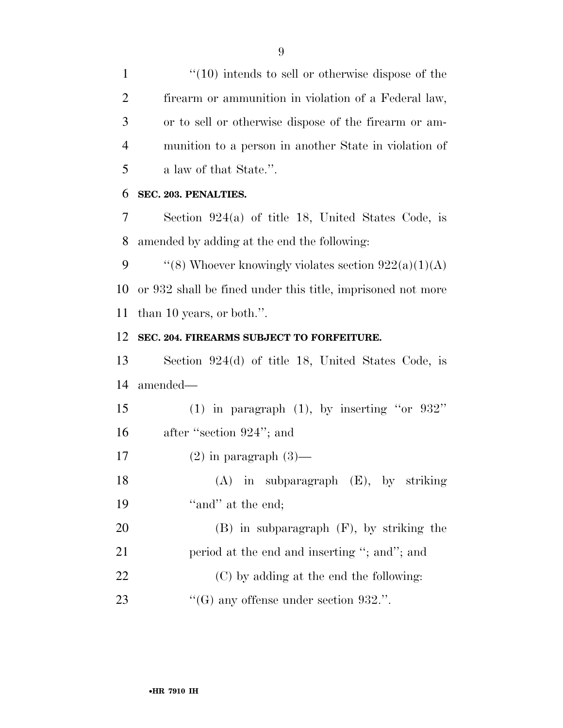1 ''(10) intends to sell or otherwise dispose of the firearm or ammunition in violation of a Federal law, or to sell or otherwise dispose of the firearm or am- munition to a person in another State in violation of a law of that State.''.

### **SEC. 203. PENALTIES.**

 Section 924(a) of title 18, United States Code, is amended by adding at the end the following:

9  $\qquad$  "(8) Whoever knowingly violates section  $922(a)(1)(A)$  or 932 shall be fined under this title, imprisoned not more than 10 years, or both.''.

### **SEC. 204. FIREARMS SUBJECT TO FORFEITURE.**

 Section 924(d) of title 18, United States Code, is amended—

 (1) in paragraph (1), by inserting ''or 932'' 16 after "section 924"; and

17  $(2)$  in paragraph  $(3)$ —

 (A) in subparagraph (E), by striking 19  $"and"$  at the end;

 (B) in subparagraph (F), by striking the 21 period at the end and inserting "; and"; and (C) by adding at the end the following:

23  $\frac{1}{2}$  (G) any offense under section 932.".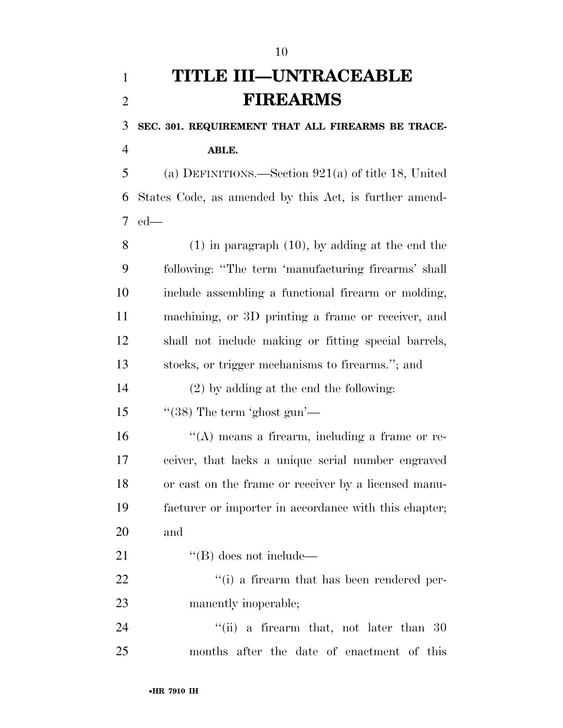# **TITLE III—UNTRACEABLE FIREARMS**

**SEC. 301. REQUIREMENT THAT ALL FIREARMS BE TRACE-**

**ABLE.** 

 (a) DEFINITIONS.—Section 921(a) of title 18, United States Code, as amended by this Act, is further amend-ed—

 (1) in paragraph (10), by adding at the end the following: ''The term 'manufacturing firearms' shall include assembling a functional firearm or molding, machining, or 3D printing a frame or receiver, and shall not include making or fitting special barrels, stocks, or trigger mechanisms to firearms.''; and

(2) by adding at the end the following:

15 "(38) The term 'ghost gun'—

 ''(A) means a firearm, including a frame or re- ceiver, that lacks a unique serial number engraved or cast on the frame or receiver by a licensed manu- facturer or importer in accordance with this chapter; and

21 ''(B) does not include—

22  $\qquad$  (i) a firearm that has been rendered per-manently inoperable;

24 ''(ii) a firearm that, not later than 30 months after the date of enactment of this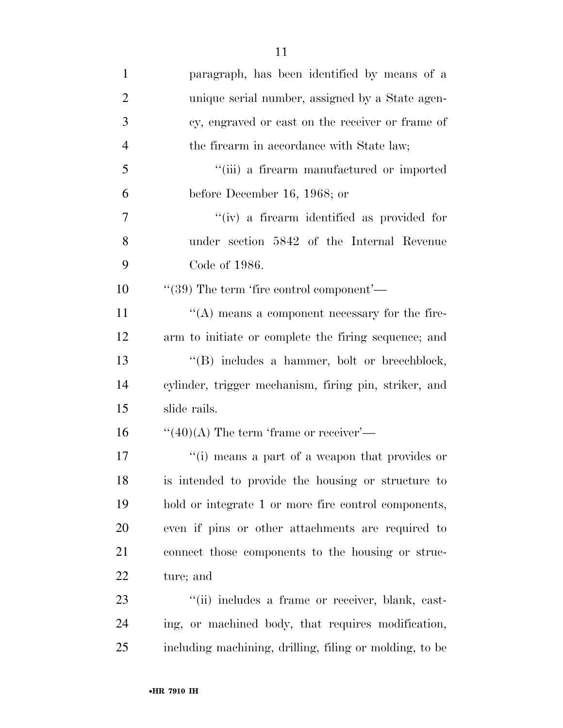| $\mathbf{1}$   | paragraph, has been identified by means of a            |
|----------------|---------------------------------------------------------|
| $\overline{2}$ | unique serial number, assigned by a State agen-         |
| 3              | cy, engraved or cast on the receiver or frame of        |
| $\overline{4}$ | the firearm in accordance with State law;               |
| 5              | "(iii) a firearm manufactured or imported               |
| 6              | before December 16, 1968; or                            |
| $\overline{7}$ | "(iv) a firearm identified as provided for              |
| 8              | under section 5842 of the Internal Revenue              |
| 9              | Code of 1986.                                           |
| 10             | $\cdot\cdot(39)$ The term 'fire control component'—     |
| 11             | $\cdot$ (A) means a component necessary for the fire-   |
| 12             | arm to initiate or complete the firing sequence; and    |
| 13             | "(B) includes a hammer, bolt or breechblock,            |
| 14             | cylinder, trigger mechanism, firing pin, striker, and   |
| 15             | slide rails.                                            |
| 16             | $``(40)(A)$ The term 'frame or receiver'—               |
| 17             | "(i) means a part of a weapon that provides or          |
| 18             | is intended to provide the housing or structure to      |
| 19             | hold or integrate 1 or more fire control components,    |
| 20             | even if pins or other attachments are required to       |
| 21             | connect those components to the housing or struc-       |
| 22             | ture; and                                               |
| 23             | "(ii) includes a frame or receiver, blank, cast-        |
| 24             | ing, or machined body, that requires modification,      |
| 25             | including machining, drilling, filing or molding, to be |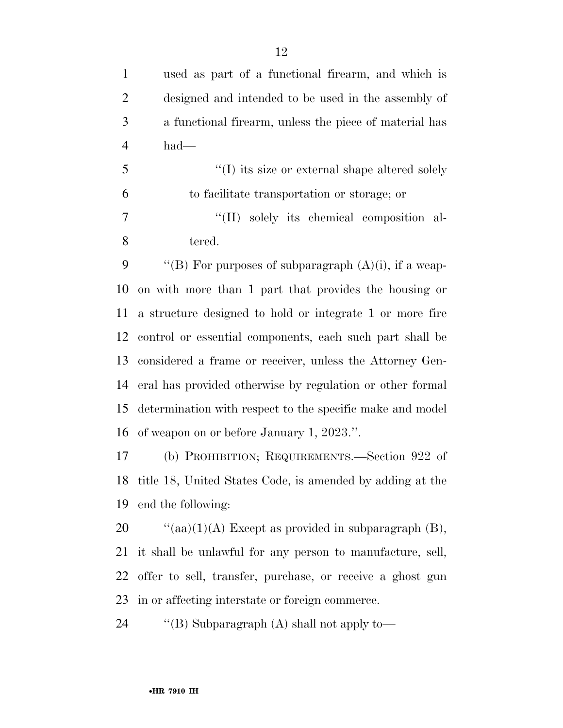| $\mathbf{1}$   | used as part of a functional firearm, and which is     |
|----------------|--------------------------------------------------------|
| 2              | designed and intended to be used in the assembly of    |
| 3              | a functional firearm, unless the piece of material has |
| $\overline{4}$ | had                                                    |
| 5              | $\lq\lq$ (I) its size or external shape altered solely |
| 6              | to facilitate transportation or storage; or            |

 ''(II) solely its chemical composition al-tered.

 $\qquad$  "(B) For purposes of subparagraph  $(A)(i)$ , if a weap- on with more than 1 part that provides the housing or a structure designed to hold or integrate 1 or more fire control or essential components, each such part shall be considered a frame or receiver, unless the Attorney Gen- eral has provided otherwise by regulation or other formal determination with respect to the specific make and model of weapon on or before January 1, 2023.''.

 (b) PROHIBITION; REQUIREMENTS.—Section 922 of title 18, United States Code, is amended by adding at the end the following:

 $\text{``(aa)(1)(A)}$  Except as provided in subparagraph (B), it shall be unlawful for any person to manufacture, sell, offer to sell, transfer, purchase, or receive a ghost gun in or affecting interstate or foreign commerce.

24 "'(B) Subparagraph (A) shall not apply to-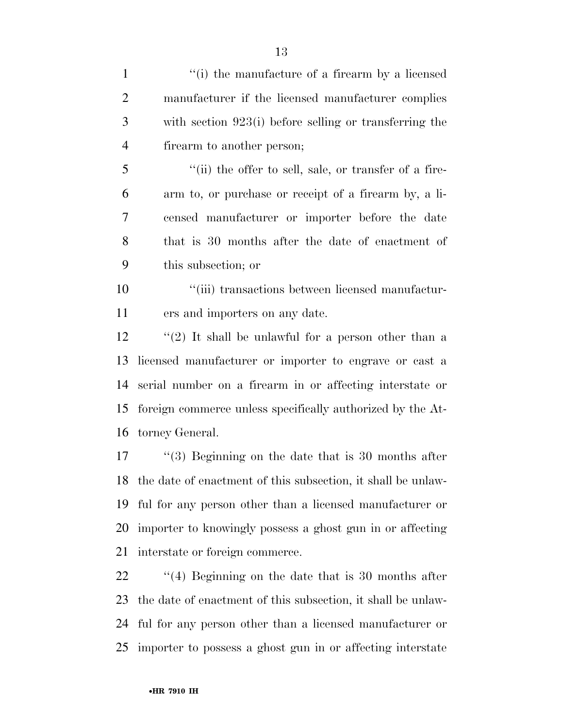| $\mathbf{1}$   | "(i) the manufacture of a firearm by a licensed                 |
|----------------|-----------------------------------------------------------------|
| $\overline{2}$ | manufacturer if the licensed manufacturer complies              |
| 3              | with section $923(i)$ before selling or transferring the        |
| $\overline{4}$ | firearm to another person;                                      |
| 5              | "(ii) the offer to sell, sale, or transfer of a fire-           |
| 6              | arm to, or purchase or receipt of a firearm by, a li-           |
| 7              | censed manufacturer or importer before the date                 |
| 8              | that is 30 months after the date of enactment of                |
| 9              | this subsection; or                                             |
| 10             | "(iii) transactions between licensed manufactur-                |
| 11             | ers and importers on any date.                                  |
| 12             | "(2) It shall be unlawful for a person other than a             |
| 13             | licensed manufacturer or importer to engrave or cast a          |
| 14             | serial number on a firearm in or affecting interstate or        |
| 15             | foreign commerce unless specifically authorized by the At-      |
| 16             | torney General.                                                 |
| 17             | $\lq(3)$ Beginning on the date that is 30 months after          |
|                | 18 the date of enactment of this subsection, it shall be unlaw- |
| 19             | ful for any person other than a licensed manufacturer or        |
| 20             | importer to knowingly possess a ghost gun in or affecting       |
| 21             | interstate or foreign commerce.                                 |
| 22             | $(4)$ Beginning on the date that is 30 months after             |
| 23             | the date of enactment of this subsection, it shall be unlaw-    |
| 24             | ful for any person other than a licensed manufacturer or        |

importer to possess a ghost gun in or affecting interstate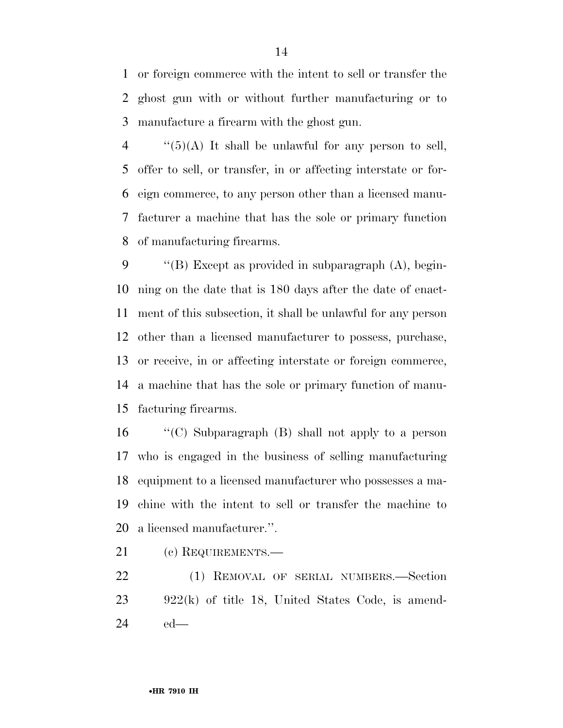or foreign commerce with the intent to sell or transfer the ghost gun with or without further manufacturing or to manufacture a firearm with the ghost gun.

 $\frac{4}{5}(5)(A)$  It shall be unlawful for any person to sell, offer to sell, or transfer, in or affecting interstate or for- eign commerce, to any person other than a licensed manu- facturer a machine that has the sole or primary function of manufacturing firearms.

 ''(B) Except as provided in subparagraph (A), begin- ning on the date that is 180 days after the date of enact- ment of this subsection, it shall be unlawful for any person other than a licensed manufacturer to possess, purchase, or receive, in or affecting interstate or foreign commerce, a machine that has the sole or primary function of manu-facturing firearms.

 ''(C) Subparagraph (B) shall not apply to a person who is engaged in the business of selling manufacturing equipment to a licensed manufacturer who possesses a ma- chine with the intent to sell or transfer the machine to a licensed manufacturer.''.

(c) REQUIREMENTS.—

 (1) REMOVAL OF SERIAL NUMBERS.—Section 922(k) of title 18, United States Code, is amend-ed—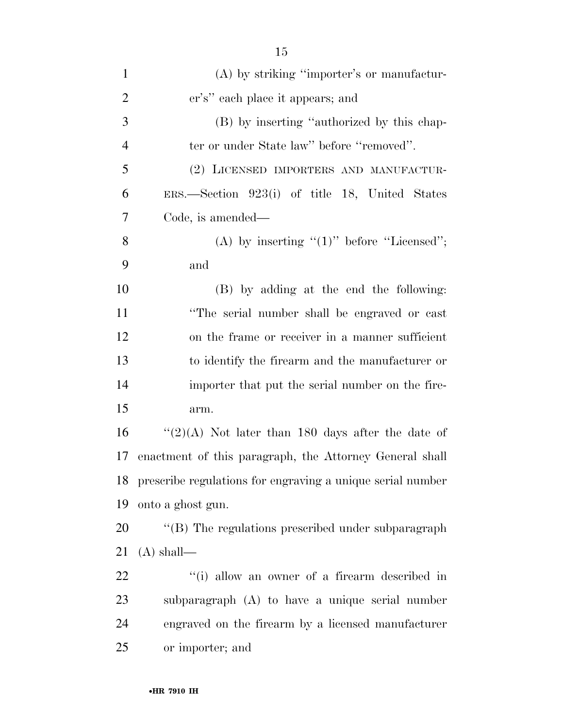| $\mathbf{1}$   | (A) by striking "importer's or manufactur-                    |
|----------------|---------------------------------------------------------------|
| $\overline{2}$ | er's" each place it appears; and                              |
| 3              | (B) by inserting "authorized by this chap-                    |
| $\overline{4}$ | ter or under State law" before "removed".                     |
| 5              | (2) LICENSED IMPORTERS AND MANUFACTUR-                        |
| 6              | $ERS.$ Section 923(i) of title 18, United States              |
| 7              | Code, is amended—                                             |
| 8              | (A) by inserting " $(1)$ " before "Licensed";                 |
| 9              | and                                                           |
| 10             | (B) by adding at the end the following:                       |
| 11             | "The serial number shall be engraved or cast                  |
| 12             | on the frame or receiver in a manner sufficient               |
| 13             | to identify the firearm and the manufacturer or               |
| 14             | importer that put the serial number on the fire-              |
| 15             | arm.                                                          |
| 16             | "(2)(A) Not later than 180 days after the date of             |
| 17             | enactment of this paragraph, the Attorney General shall       |
|                | 18 prescribe regulations for engraving a unique serial number |
| 19             | onto a ghost gun.                                             |
| 20             | "(B) The regulations prescribed under subparagraph            |
| 21             | $(A)$ shall—                                                  |
| 22             | "(i) allow an owner of a firearm described in                 |
| 23             | subparagraph (A) to have a unique serial number               |
| 24             | engraved on the firearm by a licensed manufacturer            |
| 25             | or importer; and                                              |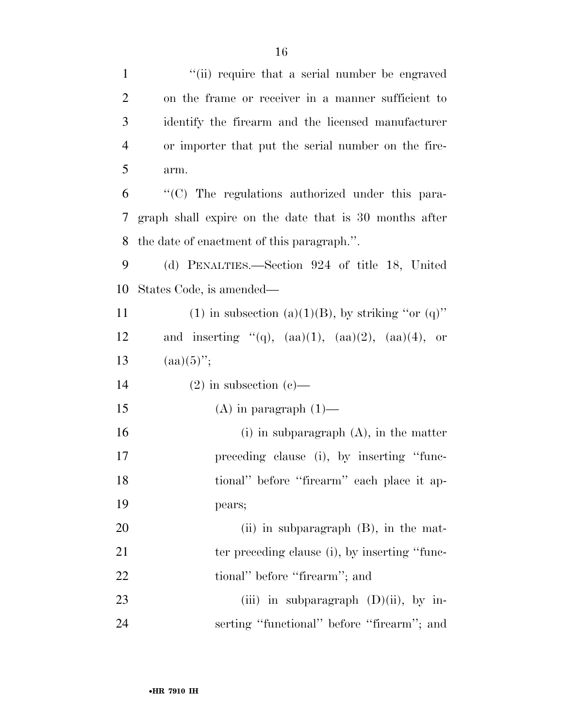| $\mathbf{1}$   | "(ii) require that a serial number be engraved             |
|----------------|------------------------------------------------------------|
| $\overline{2}$ | on the frame or receiver in a manner sufficient to         |
| 3              | identify the firearm and the licensed manufacturer         |
| $\overline{4}$ | or importer that put the serial number on the fire-        |
| 5              | arm.                                                       |
| 6              | "(C) The regulations authorized under this para-           |
| 7              | graph shall expire on the date that is 30 months after     |
| 8              | the date of enactment of this paragraph.".                 |
| 9              | (d) PENALTIES.—Section 924 of title 18, United             |
| 10             | States Code, is amended—                                   |
| 11             | (1) in subsection (a)(1)(B), by striking "or (q)"          |
| 12             | and inserting "(q), $(aa)(1)$ , $(aa)(2)$ , $(aa)(4)$ , or |
| 13             | $(aa)(5)$ ";                                               |
| 14             | $(2)$ in subsection $(e)$ —                                |
| 15             | $(A)$ in paragraph $(1)$ —                                 |
| 16             | (i) in subparagraph $(A)$ , in the matter                  |
| 17             | preceding clause (i), by inserting "func-                  |
| 18             | tional" before "firearm" each place it ap-                 |
| 19             | pears;                                                     |
| 20             | (ii) in subparagraph $(B)$ , in the mat-                   |
| 21             | ter preceding clause (i), by inserting "func-              |
| 22             | tional" before "firearm"; and                              |
| 23             | (iii) in subparagraph $(D)(ii)$ , by in-                   |
| 24             | serting "functional" before "firearm"; and                 |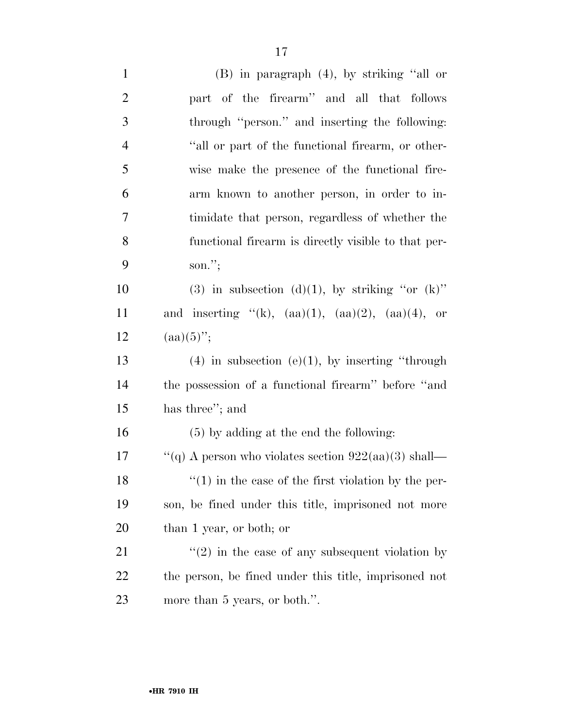| $\mathbf{1}$   | $(B)$ in paragraph $(4)$ , by striking "all or             |
|----------------|------------------------------------------------------------|
| $\overline{2}$ | part of the firearm" and all that follows                  |
| 3              | through "person." and inserting the following:             |
| $\overline{4}$ | "all or part of the functional firearm, or other-          |
| 5              | wise make the presence of the functional fire-             |
| 6              | arm known to another person, in order to in-               |
| 7              | timidate that person, regardless of whether the            |
| 8              | functional firearm is directly visible to that per-        |
| 9              | son.";                                                     |
| 10             | (3) in subsection (d)(1), by striking "or $(k)$ "          |
| 11             | and inserting "(k), $(aa)(1)$ , $(aa)(2)$ , $(aa)(4)$ , or |
| 12             | $(aa)(5)$ ";                                               |
| 13             | $(4)$ in subsection $(e)(1)$ , by inserting "through       |
| 14             | the possession of a functional firearm" before "and        |
| 15             | has three"; and                                            |
| 16             | $(5)$ by adding at the end the following:                  |
| 17             | "(q) A person who violates section $922(aa)(3)$ shall—     |
| 18             | $\cdot$ (1) in the case of the first violation by the per- |
| 19             | son, be fined under this title, imprisoned not more        |
| 20             | than 1 year, or both; or                                   |
| 21             | $\cdot\cdot(2)$ in the case of any subsequent violation by |
| 22             | the person, be fined under this title, imprisoned not      |
| 23             | more than 5 years, or both.".                              |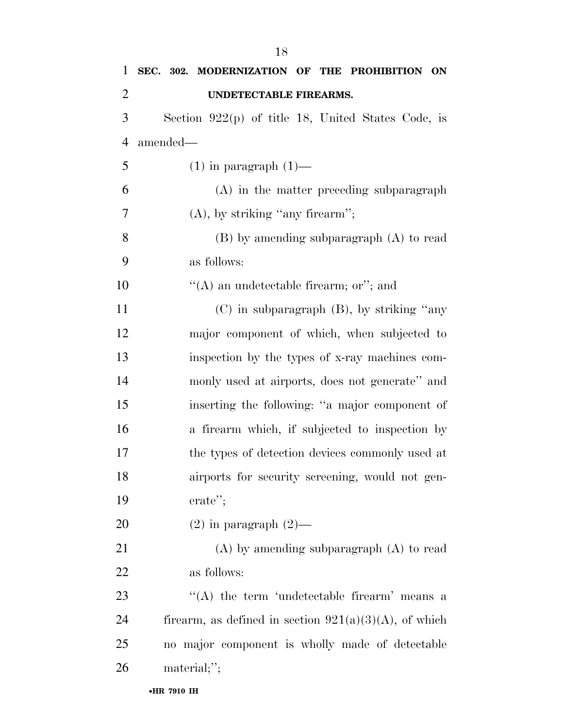| $\mathbf{1}$   | SEC. 302. MODERNIZATION OF THE PROHIBITION ON            |
|----------------|----------------------------------------------------------|
| $\overline{2}$ | UNDETECTABLE FIREARMS.                                   |
| 3              | Section $922(p)$ of title 18, United States Code, is     |
| $\overline{4}$ | amended—                                                 |
| 5              | $(1)$ in paragraph $(1)$ —                               |
| 6              | (A) in the matter preceding subparagraph                 |
| 7              | $(A)$ , by striking "any firearm";                       |
| 8              | $(B)$ by amending subparagraph $(A)$ to read             |
| 9              | as follows:                                              |
| 10             | "(A) an undetectable firearm; or"; and                   |
| 11             | $(C)$ in subparagraph $(B)$ , by striking "any           |
| 12             | major component of which, when subjected to              |
| 13             | inspection by the types of x-ray machines com-           |
| 14             | monly used at airports, does not generate" and           |
| 15             | inserting the following: "a major component of           |
| 16             | a firearm which, if subjected to inspection by           |
| 17             | the types of detection devices commonly used at          |
| 18             | airports for security screening, would not gen-          |
| 19             | erate";                                                  |
| 20             | $(2)$ in paragraph $(2)$ —                               |
| 21             | $(A)$ by amending subparagraph $(A)$ to read             |
| 22             | as follows:                                              |
| 23             | "(A) the term 'undetectable firearm' means a             |
| 24             | firearm, as defined in section $921(a)(3)(A)$ , of which |
| 25             | no major component is wholly made of detectable          |
| 26             | material;";                                              |
|                | •HR 7910 IH                                              |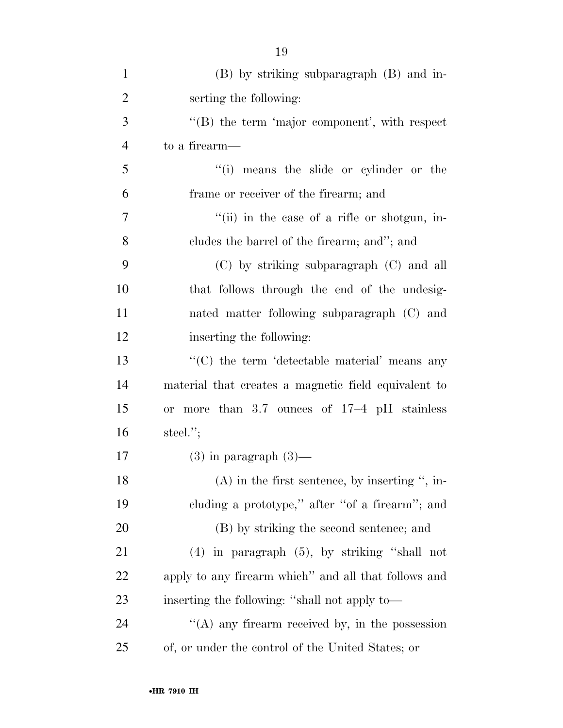| $\mathbf{1}$   | (B) by striking subparagraph (B) and in-                |
|----------------|---------------------------------------------------------|
| $\overline{2}$ | serting the following:                                  |
| 3              | "(B) the term 'major component', with respect           |
| $\overline{4}$ | to a firearm—                                           |
| 5              | "(i) means the slide or cylinder or the                 |
| 6              | frame or receiver of the firearm; and                   |
| 7              | "(ii) in the case of a rifle or shotgun, in-            |
| 8              | cludes the barrel of the firearm; and"; and             |
| 9              | $(C)$ by striking subparagraph $(C)$ and all            |
| 10             | that follows through the end of the undesig-            |
| 11             | nated matter following subparagraph (C) and             |
| 12             | inserting the following:                                |
| 13             | "(C) the term 'detectable material' means any           |
| 14             | material that creates a magnetic field equivalent to    |
| 15             | more than $3.7$ ounces of $17-4$ pH stainless<br>or     |
| 16             | steel. $";$                                             |
| 17             | $(3)$ in paragraph $(3)$ —                              |
| 18             | $(A)$ in the first sentence, by inserting ", in-        |
| 19             | cluding a prototype," after "of a firearm"; and         |
| 20             | (B) by striking the second sentence; and                |
| 21             | $(4)$ in paragraph $(5)$ , by striking "shall not       |
| 22             | apply to any firearm which" and all that follows and    |
| 23             | inserting the following: "shall not apply to-           |
| 24             | $\lq\lq$ (A) any firearm received by, in the possession |
| 25             | of, or under the control of the United States; or       |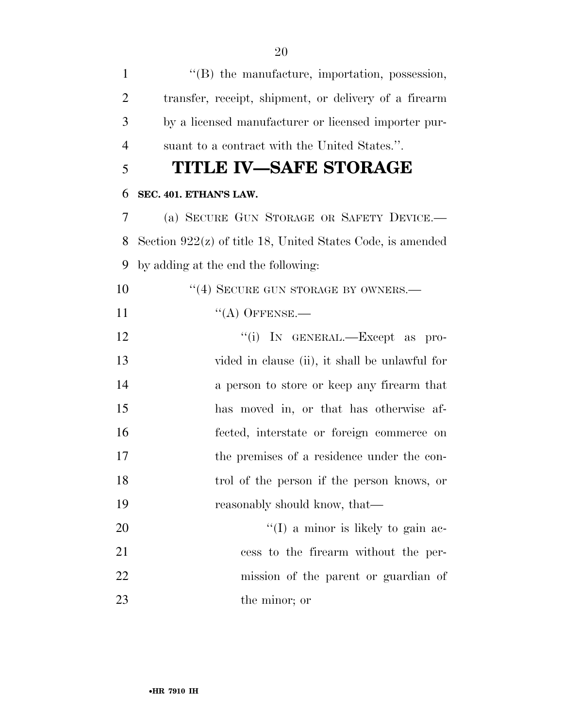| $\mathbf{1}$   | $\lq\lq$ the manufacture, importation, possession,           |
|----------------|--------------------------------------------------------------|
| $\overline{2}$ | transfer, receipt, shipment, or delivery of a firearm        |
| 3              | by a licensed manufacturer or licensed importer pur-         |
| $\overline{4}$ | suant to a contract with the United States.".                |
| 5              | <b>TITLE IV-SAFE STORAGE</b>                                 |
| 6              | SEC. 401. ETHAN'S LAW.                                       |
| 7              | (a) SECURE GUN STORAGE OR SAFETY DEVICE.                     |
| 8              | Section $922(z)$ of title 18, United States Code, is amended |
| 9              | by adding at the end the following:                          |
| 10             | "(4) SECURE GUN STORAGE BY OWNERS.-                          |
| 11             | $\lq\lq$ (A) OFFENSE.—                                       |
| 12             | "(i) IN GENERAL.—Except as pro-                              |
| 13             | vided in clause (ii), it shall be unlawful for               |
| 14             | a person to store or keep any firearm that                   |
| 15             | has moved in, or that has otherwise af-                      |
| 16             | fected, interstate or foreign commerce on                    |
| 17             | the premises of a residence under the con-                   |
| 18             | trol of the person if the person knows, or                   |
| 19             | reasonably should know, that—                                |
| 20             | $\lq(1)$ a minor is likely to gain ac-                       |
| 21             | cess to the firearm without the per-                         |
| 22             | mission of the parent or guardian of                         |
| 23             | the minor; or                                                |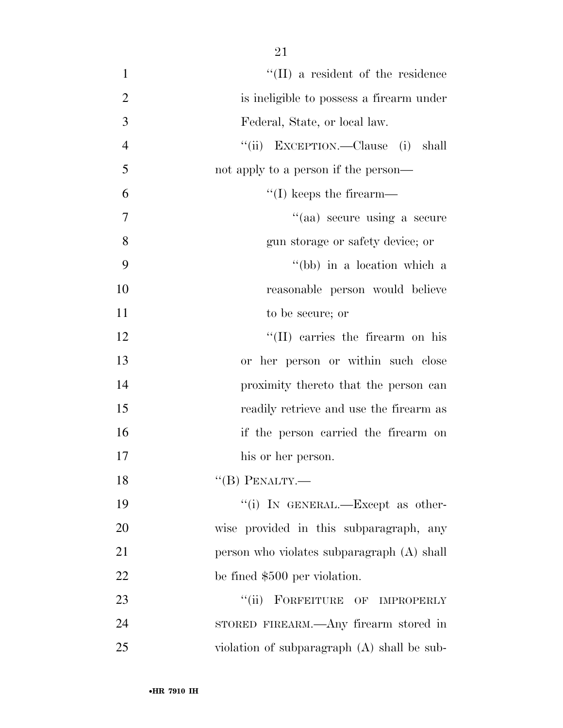| $\mathbf{1}$   | $\lq\lq$ (II) a resident of the residence   |
|----------------|---------------------------------------------|
| $\overline{2}$ | is ineligible to possess a firearm under    |
| 3              | Federal, State, or local law.               |
| $\overline{4}$ | "(ii) EXCEPTION.—Clause (i)<br>shall        |
| 5              | not apply to a person if the person—        |
| 6              | $\lq\lq$ (I) keeps the firearm—             |
| 7              | "(aa) secure using a secure                 |
| 8              | gun storage or safety device; or            |
| 9              | "(bb) in a location which a                 |
| 10             | reasonable person would believe             |
| 11             | to be secure; or                            |
| 12             | "(II) carries the firearm on his            |
| 13             | or her person or within such close          |
| 14             | proximity thereto that the person can       |
| 15             | readily retrieve and use the firearm as     |
| 16             | if the person carried the firearm on        |
| 17             | his or her person.                          |
| 18             | $``$ (B) PENALTY.—                          |
| 19             | "(i) IN GENERAL.—Except as other-           |
| 20             | wise provided in this subparagraph, any     |
| 21             | person who violates subparagraph (A) shall  |
| 22             | be fined \$500 per violation.               |
| 23             | FORFEITURE OF IMPROPERLY<br>``(ii)          |
| 24             | STORED FIREARM.—Any firearm stored in       |
| 25             | violation of subparagraph (A) shall be sub- |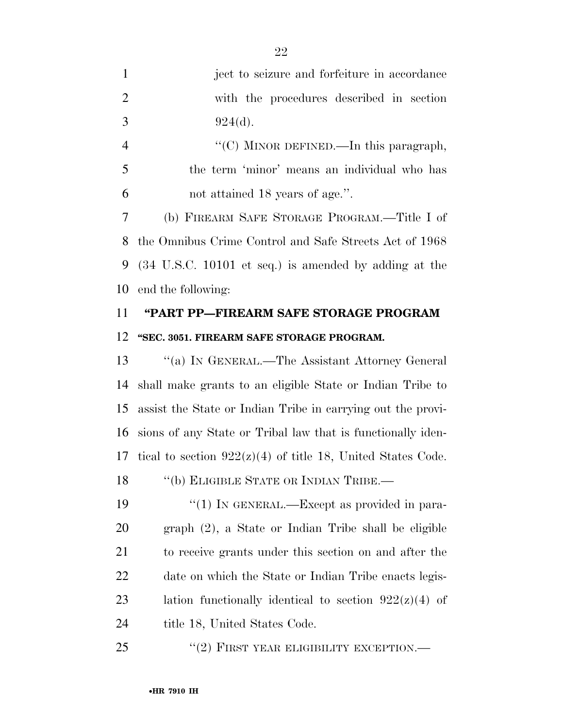| $\mathbf{1}$   | ject to seizure and forfeiture in accordance              |
|----------------|-----------------------------------------------------------|
| 2              | with the procedures described in section                  |
| 3              | 924(d).                                                   |
| $\overline{4}$ | "(C) MINOR DEFINED.—In this paragraph,                    |
| 5              | the term 'minor' means an individual who has              |
| 6              | not attained 18 years of age.".                           |
| 7              | (b) FIREARM SAFE STORAGE PROGRAM.—Title I of              |
| 8              | the Omnibus Crime Control and Safe Streets Act of 1968    |
|                | $9$ (34 U.S.C. 10101 et seq.) is amended by adding at the |
|                |                                                           |

end the following:

# **''PART PP—FIREARM SAFE STORAGE PROGRAM ''SEC. 3051. FIREARM SAFE STORAGE PROGRAM.**

 ''(a) IN GENERAL.—The Assistant Attorney General shall make grants to an eligible State or Indian Tribe to assist the State or Indian Tribe in carrying out the provi- sions of any State or Tribal law that is functionally iden-17 tical to section  $922(z)(4)$  of title 18, United States Code.

18 "(b) ELIGIBLE STATE OR INDIAN TRIBE.—

19  $\frac{1}{2}$  (1) In GENERAL.—Except as provided in para- graph (2), a State or Indian Tribe shall be eligible to receive grants under this section on and after the 22 date on which the State or Indian Tribe enacts legis-23 lation functionally identical to section  $922(z)(4)$  of 24 title 18, United States Code.

25 "(2) FIRST YEAR ELIGIBILITY EXCEPTION.—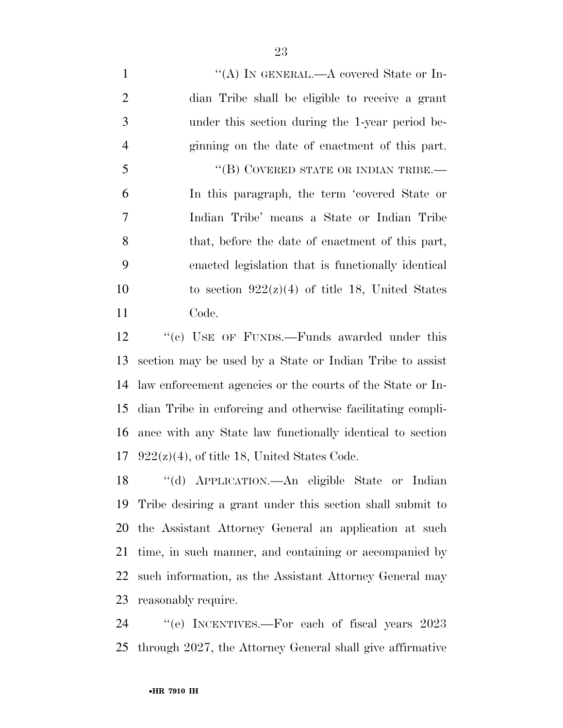$\langle (A) \rangle$  In GENERAL.—A covered State or In- dian Tribe shall be eligible to receive a grant under this section during the 1-year period be- ginning on the date of enactment of this part. 5 "(B) COVERED STATE OR INDIAN TRIBE.— In this paragraph, the term 'covered State or Indian Tribe' means a State or Indian Tribe that, before the date of enactment of this part, enacted legislation that is functionally identical 10 to section  $922(z)(4)$  of title 18, United States Code.

12 "(c) USE OF FUNDS.—Funds awarded under this section may be used by a State or Indian Tribe to assist law enforcement agencies or the courts of the State or In- dian Tribe in enforcing and otherwise facilitating compli- ance with any State law functionally identical to section  $922(z)(4)$ , of title 18, United States Code.

 ''(d) APPLICATION.—An eligible State or Indian Tribe desiring a grant under this section shall submit to the Assistant Attorney General an application at such time, in such manner, and containing or accompanied by such information, as the Assistant Attorney General may reasonably require.

24 "(e) INCENTIVES.—For each of fiscal years 2023 through 2027, the Attorney General shall give affirmative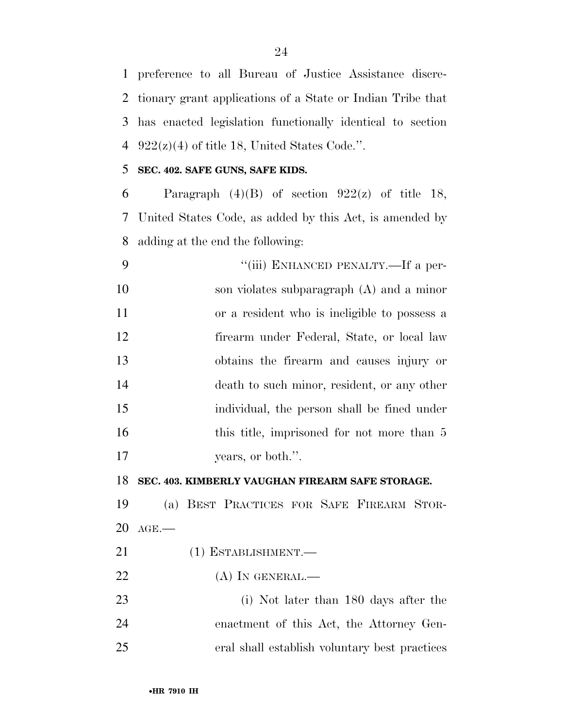preference to all Bureau of Justice Assistance discre- tionary grant applications of a State or Indian Tribe that has enacted legislation functionally identical to section  $922(z)(4)$  of title 18, United States Code.".

# **SEC. 402. SAFE GUNS, SAFE KIDS.**

6 Paragraph  $(4)(B)$  of section  $922(z)$  of title 18, United States Code, as added by this Act, is amended by adding at the end the following:

 $``(iii)$  ENHANCED PENALTY.—If a per- son violates subparagraph (A) and a minor or a resident who is ineligible to possess a firearm under Federal, State, or local law obtains the firearm and causes injury or death to such minor, resident, or any other individual, the person shall be fined under 16 this title, imprisoned for not more than 5 17 years, or both.".

### **SEC. 403. KIMBERLY VAUGHAN FIREARM SAFE STORAGE.**

 (a) BEST PRACTICES FOR SAFE FIREARM STOR-AGE.—

- 21 (1) ESTABLISHMENT.
- 22 (A) IN GENERAL.—
- (i) Not later than 180 days after the enactment of this Act, the Attorney Gen-eral shall establish voluntary best practices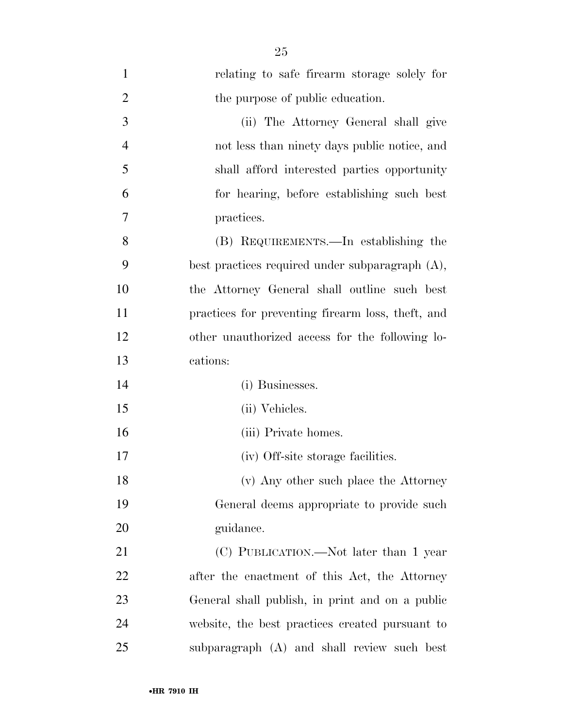| $\mathbf{1}$   | relating to safe firearm storage solely for        |
|----------------|----------------------------------------------------|
| $\overline{2}$ | the purpose of public education.                   |
| 3              | (ii) The Attorney General shall give               |
| $\overline{4}$ | not less than ninety days public notice, and       |
| 5              | shall afford interested parties opportunity        |
| 6              | for hearing, before establishing such best         |
| 7              | practices.                                         |
| 8              | (B) REQUIREMENTS.—In establishing the              |
| 9              | best practices required under subparagraph $(A)$ , |
| 10             | the Attorney General shall outline such best       |
| 11             | practices for preventing firearm loss, theft, and  |
| 12             | other unauthorized access for the following lo-    |
| 13             | cations:                                           |
| 14             | (i) Businesses.                                    |
| 15             | (ii) Vehicles.                                     |
| 16             | (iii) Private homes.                               |
| 17             | (iv) Off-site storage facilities.                  |
| 18             | (v) Any other such place the Attorney              |
| 19             | General deems appropriate to provide such          |
| 20             | guidance.                                          |
| 21             | (C) PUBLICATION.—Not later than 1 year             |
| 22             | after the enactment of this Act, the Attorney      |
| 23             | General shall publish, in print and on a public    |
| 24             |                                                    |
|                | website, the best practices created pursuant to    |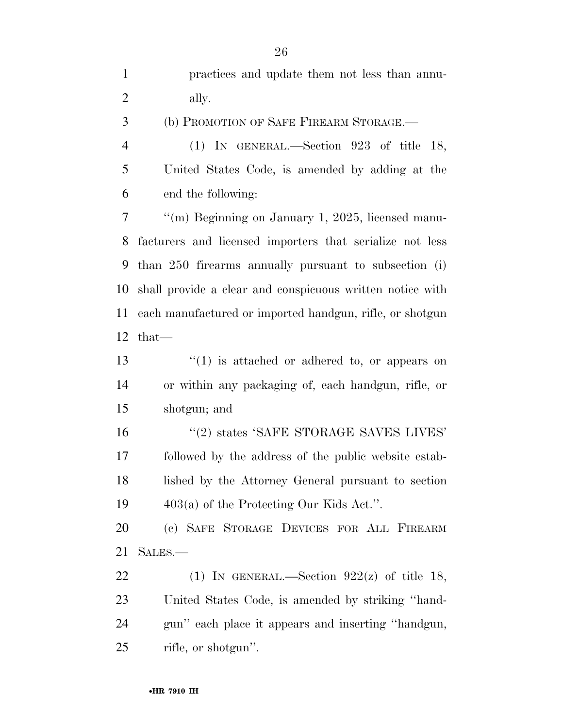practices and update them not less than annu- ally. (b) PROMOTION OF SAFE FIREARM STORAGE.— (1) IN GENERAL.—Section 923 of title 18, United States Code, is amended by adding at the end the following: ''(m) Beginning on January 1, 2025, licensed manu- facturers and licensed importers that serialize not less than 250 firearms annually pursuant to subsection (i) shall provide a clear and conspicuous written notice with each manufactured or imported handgun, rifle, or shotgun that—  $\frac{13}{2}$   $\frac{13}{2}$  is attached or adhered to, or appears on or within any packaging of, each handgun, rifle, or shotgun; and ''(2) states 'SAFE STORAGE SAVES LIVES' followed by the address of the public website estab- lished by the Attorney General pursuant to section 403(a) of the Protecting Our Kids Act.''. (c) SAFE STORAGE DEVICES FOR ALL FIREARM SALES.— 22 (1) IN GENERAL.—Section  $922(z)$  of title 18, United States Code, is amended by striking ''hand- gun'' each place it appears and inserting ''handgun, rifle, or shotgun''.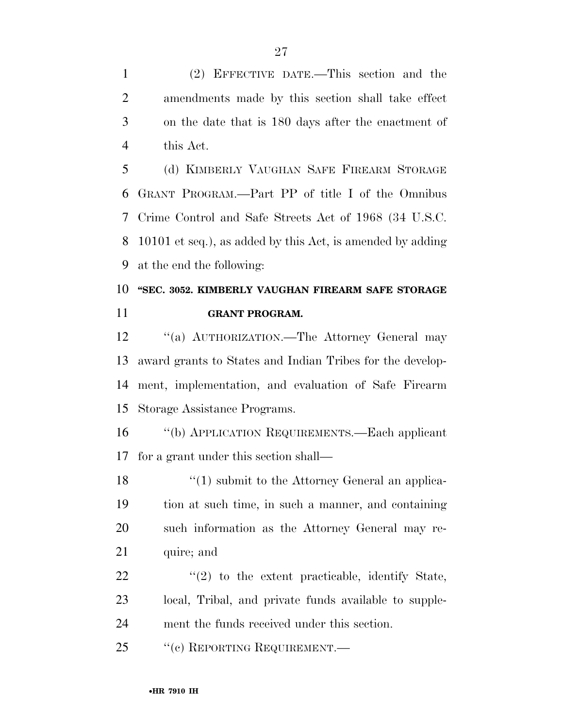(2) EFFECTIVE DATE.—This section and the amendments made by this section shall take effect on the date that is 180 days after the enactment of this Act.

 (d) KIMBERLY VAUGHAN SAFE FIREARM STORAGE GRANT PROGRAM.—Part PP of title I of the Omnibus Crime Control and Safe Streets Act of 1968 (34 U.S.C. 10101 et seq.), as added by this Act, is amended by adding at the end the following:

# **''SEC. 3052. KIMBERLY VAUGHAN FIREARM SAFE STORAGE GRANT PROGRAM.**

12 "(a) AUTHORIZATION.—The Attorney General may award grants to States and Indian Tribes for the develop- ment, implementation, and evaluation of Safe Firearm Storage Assistance Programs.

 ''(b) APPLICATION REQUIREMENTS.—Each applicant for a grant under this section shall—

18 ''(1) submit to the Attorney General an applica- tion at such time, in such a manner, and containing such information as the Attorney General may re-quire; and

  $(2)$  to the extent practicable, identify State, local, Tribal, and private funds available to supple-ment the funds received under this section.

25 "(c) REPORTING REQUIREMENT.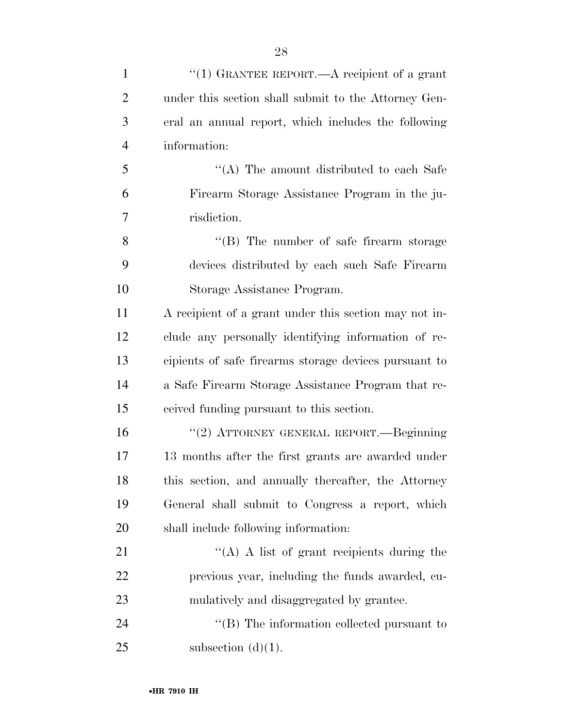| $\mathbf{1}$   | "(1) GRANTEE REPORT.—A recipient of a grant           |
|----------------|-------------------------------------------------------|
| $\overline{2}$ | under this section shall submit to the Attorney Gen-  |
| 3              | eral an annual report, which includes the following   |
| $\overline{4}$ | information:                                          |
| 5              | "(A) The amount distributed to each Safe              |
| 6              | Firearm Storage Assistance Program in the ju-         |
| 7              | risdiction.                                           |
| 8              | $\lq\lq (B)$ The number of safe firearm storage       |
| 9              | devices distributed by each such Safe Firearm         |
| 10             | Storage Assistance Program.                           |
| 11             | A recipient of a grant under this section may not in- |
| 12             | clude any personally identifying information of re-   |
| 13             | cipients of safe firearms storage devices pursuant to |
| 14             | a Safe Firearm Storage Assistance Program that re-    |
| 15             | ceived funding pursuant to this section.              |
| 16             | "(2) ATTORNEY GENERAL REPORT.—Beginning               |
| 17             | 13 months after the first grants are awarded under    |
| 18             | this section, and annually thereafter, the Attorney   |
| 19             | General shall submit to Congress a report, which      |
| 20             | shall include following information:                  |
| 21             | "(A) A list of grant recipients during the            |
| 22             | previous year, including the funds awarded, cu-       |
| 23             | mulatively and disaggregated by grantee.              |
| 24             | "(B) The information collected pursuant to            |
| 25             | subsection $(d)(1)$ .                                 |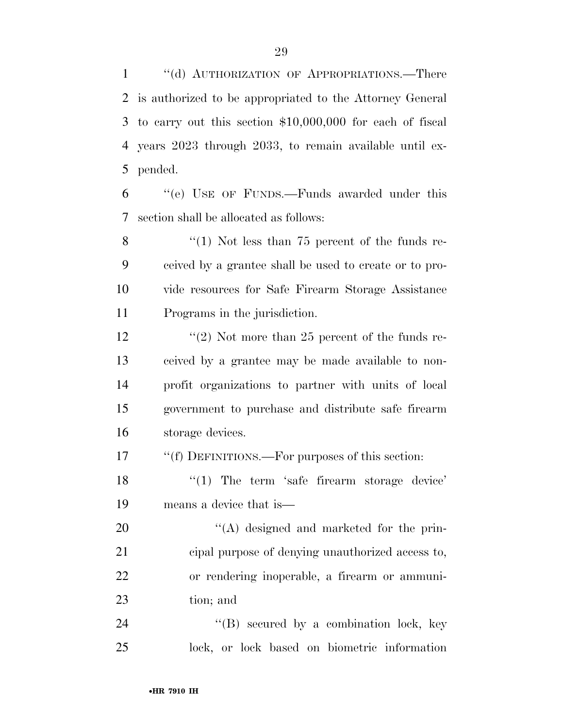1 "(d) AUTHORIZATION OF APPROPRIATIONS.—There is authorized to be appropriated to the Attorney General to carry out this section \$10,000,000 for each of fiscal years 2023 through 2033, to remain available until ex-pended.

 ''(e) USE OF FUNDS.—Funds awarded under this section shall be allocated as follows:

 $\frac{1}{2}$  (1) Not less than 75 percent of the funds re- ceived by a grantee shall be used to create or to pro- vide resources for Safe Firearm Storage Assistance Programs in the jurisdiction.

12 ''(2) Not more than 25 percent of the funds re- ceived by a grantee may be made available to non- profit organizations to partner with units of local government to purchase and distribute safe firearm storage devices.

''(f) DEFINITIONS.—For purposes of this section:

18 '(1) The term 'safe firearm storage device' means a device that is—

 $\langle (A)$  designed and marketed for the prin- cipal purpose of denying unauthorized access to, or rendering inoperable, a firearm or ammuni-tion; and

24 "(B) secured by a combination lock, key lock, or lock based on biometric information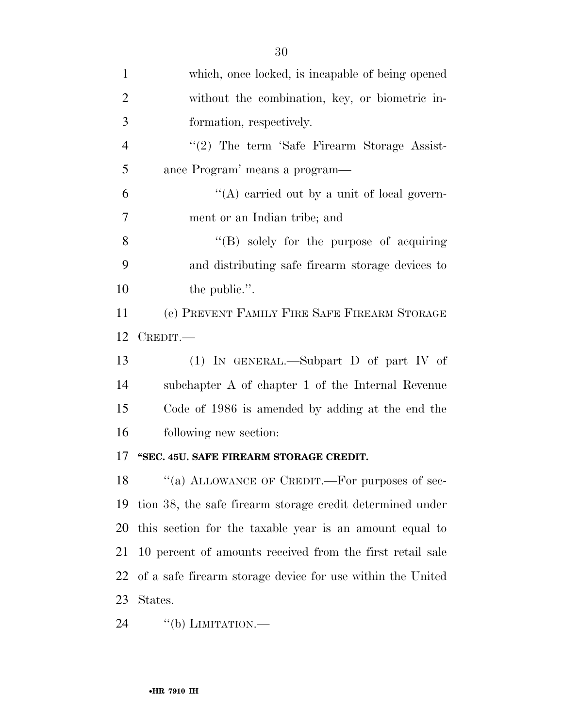| $\mathbf{1}$   | which, once locked, is incapable of being opened           |
|----------------|------------------------------------------------------------|
| $\overline{2}$ | without the combination, key, or biometric in-             |
| 3              | formation, respectively.                                   |
| $\overline{4}$ | $\lq(2)$ The term 'Safe Firearm Storage Assist-            |
| 5              | ance Program' means a program—                             |
| 6              | "(A) carried out by a unit of local govern-                |
| 7              | ment or an Indian tribe; and                               |
| 8              | $\lq\lq (B)$ solely for the purpose of acquiring           |
| 9              | and distributing safe firearm storage devices to           |
| 10             | the public.".                                              |
| 11             | (e) PREVENT FAMILY FIRE SAFE FIREARM STORAGE               |
| 12             | CREDIT.                                                    |
| 13             | (1) IN GENERAL.—Subpart D of part IV of                    |
| 14             | subchapter A of chapter 1 of the Internal Revenue          |
| 15             | Code of 1986 is amended by adding at the end the           |
| 16             | following new section:                                     |
| 17             | "SEC. 45U. SAFE FIREARM STORAGE CREDIT.                    |
| 18             | "(a) ALLOWANCE OF CREDIT.—For purposes of sec-             |
| 19             | tion 38, the safe firearm storage credit determined under  |
| 20             | this section for the taxable year is an amount equal to    |
| 21             | 10 percent of amounts received from the first retail sale  |
| 22             | of a safe firearm storage device for use within the United |
| 23             | States.                                                    |
| 24             | "(b) LIMITATION.—                                          |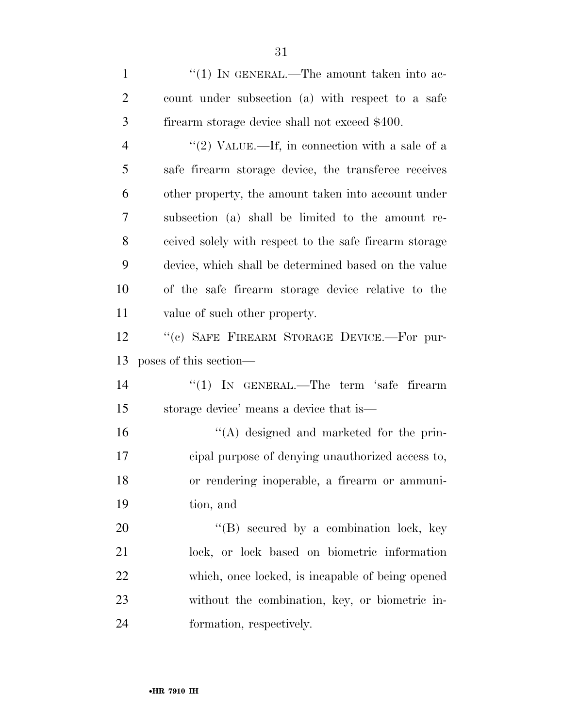1 "(1) IN GENERAL.—The amount taken into ac- count under subsection (a) with respect to a safe firearm storage device shall not exceed \$400.

 $\frac{4}{2}$  ''(2) VALUE.—If, in connection with a sale of a safe firearm storage device, the transferee receives other property, the amount taken into account under subsection (a) shall be limited to the amount re- ceived solely with respect to the safe firearm storage device, which shall be determined based on the value of the safe firearm storage device relative to the value of such other property.

12 "(c) SAFE FIREARM STORAGE DEVICE.—For pur-poses of this section—

14 "(1) IN GENERAL.—The term 'safe firearm storage device' means a device that is—

 ''(A) designed and marketed for the prin- cipal purpose of denying unauthorized access to, or rendering inoperable, a firearm or ammuni-tion, and

20 "'(B) secured by a combination lock, key lock, or lock based on biometric information which, once locked, is incapable of being opened without the combination, key, or biometric in-formation, respectively.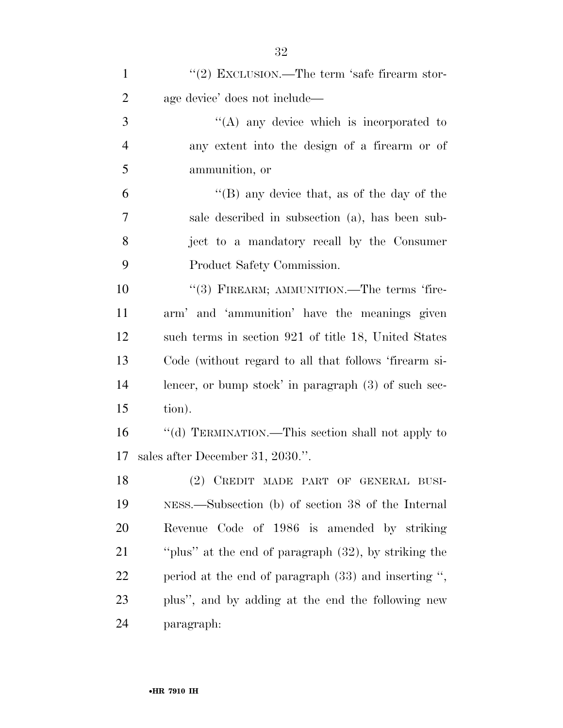| $\mathbf{1}$   | "(2) EXCLUSION.—The term 'safe firearm stor-           |
|----------------|--------------------------------------------------------|
| $\overline{2}$ | age device' does not include—                          |
| 3              | "(A) any device which is incorporated to               |
| $\overline{4}$ | any extent into the design of a firearm or of          |
| 5              | ammunition, or                                         |
| 6              | "(B) any device that, as of the day of the             |
| $\overline{7}$ | sale described in subsection (a), has been sub-        |
| 8              | ject to a mandatory recall by the Consumer             |
| 9              | Product Safety Commission.                             |
| 10             | "(3) FIREARM; AMMUNITION.—The terms 'fire-             |
| 11             | arm' and 'ammunition' have the meanings given          |
| 12             | such terms in section 921 of title 18, United States   |
| 13             | Code (without regard to all that follows 'firearm si-  |
| 14             | lencer, or bump stock' in paragraph $(3)$ of such sec- |
| 15             | tion).                                                 |
| 16             | "(d) TERMINATION.—This section shall not apply to      |
| 17             | sales after December 31, 2030.".                       |
| 18             | (2) CREDIT MADE PART OF GENERAL BUSI-                  |
| 19             | NESS.—Subsection (b) of section 38 of the Internal     |
| 20             | Revenue Code of 1986 is amended by striking            |
| 21             | "plus" at the end of paragraph (32), by striking the   |
| 22             | period at the end of paragraph $(33)$ and inserting ", |
| 23             | plus", and by adding at the end the following new      |
| 24             | paragraph:                                             |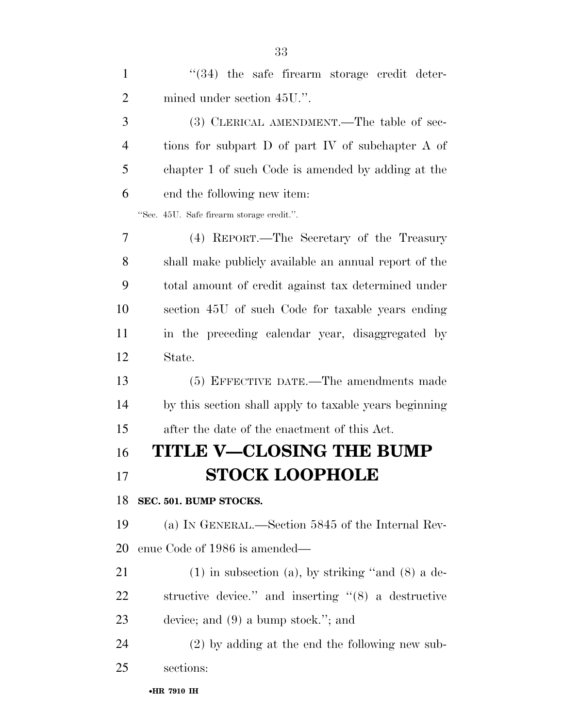| $\overline{2}$ | mined under section 45U.".                               |
|----------------|----------------------------------------------------------|
| 3              | (3) CLERICAL AMENDMENT.—The table of sec-                |
| 4              | tions for subpart D of part IV of subchapter A of        |
| 5              | chapter 1 of such Code is amended by adding at the       |
| 6              | end the following new item:                              |
|                | "Sec. 45U. Safe firearm storage credit.".                |
| 7              | (4) REPORT.—The Secretary of the Treasury                |
| 8              | shall make publicly available an annual report of the    |
| 9              | total amount of credit against tax determined under      |
| 10             | section 45U of such Code for taxable years ending        |
| 11             | in the preceding calendar year, disaggregated by         |
| 12             | State.                                                   |
| 13             | (5) EFFECTIVE DATE.—The amendments made                  |
| 14             | by this section shall apply to taxable years beginning   |
| 15             | after the date of the enactment of this Act.             |
| 16             | <b>TITLE V–CLOSING THE BUMP</b>                          |
| 17             | <b>STOCK LOOPHOLE</b>                                    |
|                | 18 SEC. 501. BUMP STOCKS.                                |
| 19             | (a) IN GENERAL.—Section 5845 of the Internal Rev-        |
| <b>20</b>      | enue Code of 1986 is amended—                            |
| 21             | $(1)$ in subsection $(a)$ , by striking "and $(8)$ a de- |
| 22             | structive device." and inserting $\lq(8)$ a destructive  |
| 23             | device; and $(9)$ a bump stock."; and                    |
| 24             | $(2)$ by adding at the end the following new sub-        |
| 25             | sections:                                                |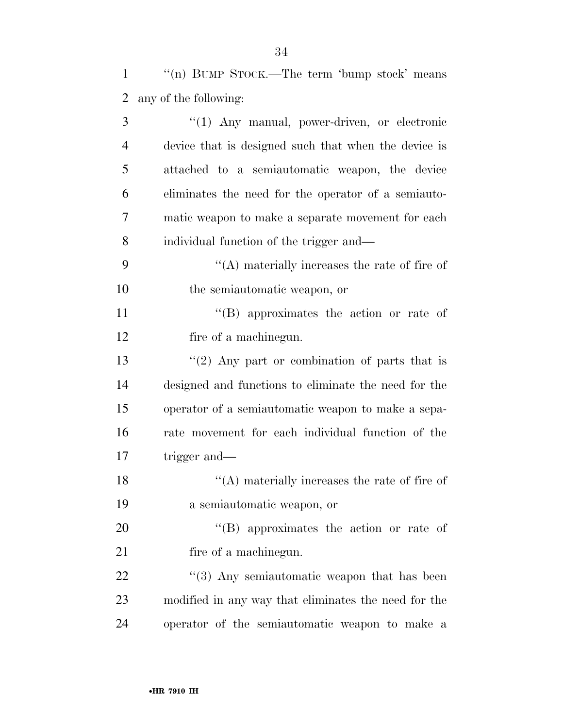''(n) BUMP STOCK.—The term 'bump stock' means

| 2  | any of the following:                                |
|----|------------------------------------------------------|
| 3  | $\lq(1)$ Any manual, power-driven, or electronic     |
| 4  | device that is designed such that when the device is |
| 5  | attached to a semiautomatic weapon, the device       |
| 6  | eliminates the need for the operator of a semiauto-  |
| 7  | matic weapon to make a separate movement for each    |
| 8  | individual function of the trigger and—              |
| 9  | $\lq\lq$ materially increases the rate of fire of    |
| 10 | the semiautomatic weapon, or                         |
| 11 | "(B) approximates the action or rate of              |
| 12 | fire of a machinegun.                                |
| 13 | "(2) Any part or combination of parts that is        |
| 14 | designed and functions to eliminate the need for the |
| 15 | operator of a semiautomatic weapon to make a sepa-   |
| 16 | rate movement for each individual function of the    |
| 17 | trigger and—                                         |

18 ''(A) materially increases the rate of fire of a semiautomatic weapon, or

20  $"$ (B) approximates the action or rate of fire of a machinegun.

22 ''(3) Any semiautomatic weapon that has been modified in any way that eliminates the need for the operator of the semiautomatic weapon to make a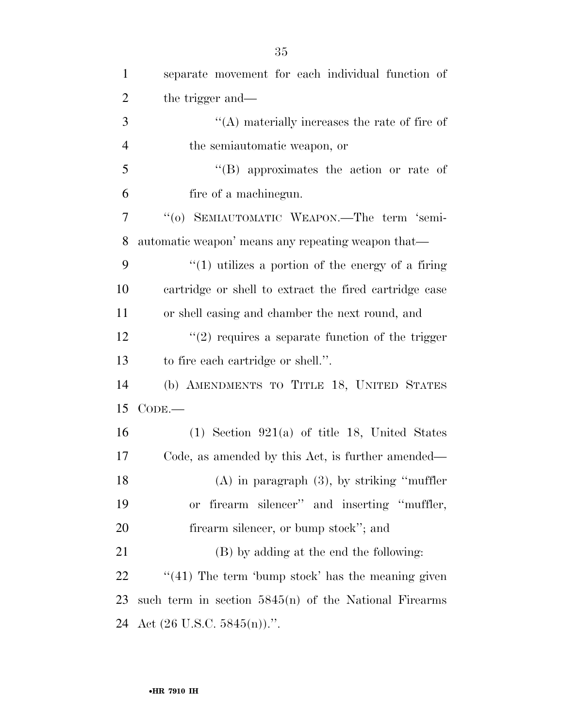| $\mathbf{1}$   | separate movement for each individual function of       |
|----------------|---------------------------------------------------------|
| $\overline{2}$ | the trigger and—                                        |
| 3              | $\lq\lq$ materially increases the rate of fire of       |
| $\overline{4}$ | the semiautomatic weapon, or                            |
| 5              | $\lq\lq$ approximates the action or rate of             |
| 6              | fire of a machinegun.                                   |
| $\tau$         | "(0) SEMIAUTOMATIC WEAPON.—The term 'semi-              |
| 8              | automatic weapon' means any repeating weapon that—      |
| 9              | $\lq(1)$ utilizes a portion of the energy of a firing   |
| 10             | cartridge or shell to extract the fired cartridge case  |
| 11             | or shell casing and chamber the next round, and         |
| 12             | $\lq(2)$ requires a separate function of the trigger    |
| 13             | to fire each cartridge or shell.".                      |
| 14             | (b) AMENDMENTS TO TITLE 18, UNITED STATES               |
| 15             | $CODE$ .                                                |
| 16             | $(1)$ Section 921(a) of title 18, United States         |
| 17             | Code, as amended by this Act, is further amended—       |
| 18             | $(A)$ in paragraph $(3)$ , by striking "muffler         |
| 19             | or firearm silencer" and inserting "muffler,            |
| 20             | firearm silencer, or bump stock"; and                   |
| 21             | (B) by adding at the end the following:                 |
| 22             | $((41)$ The term 'bump stock' has the meaning given     |
| 23             | such term in section $5845(n)$ of the National Firearms |
| 24             | Act $(26 \text{ U.S.C. } 5845(n))$ .".                  |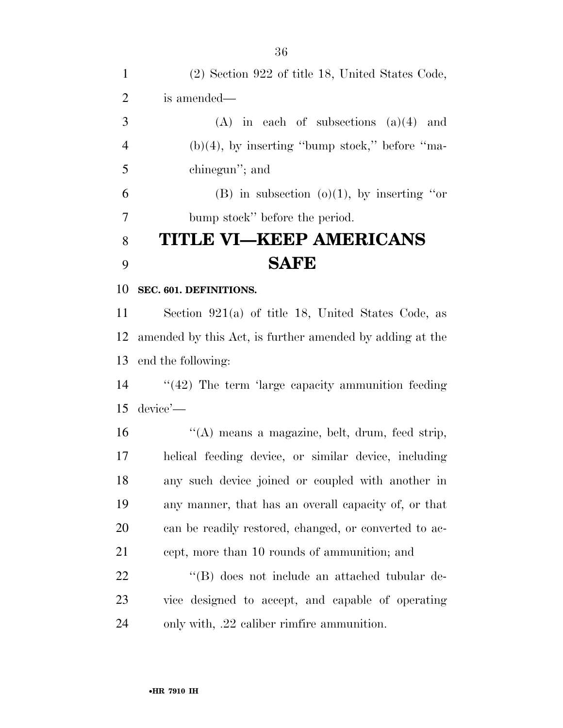(2) Section 922 of title 18, United States Code, is amended—  $3 \t(A)$  in each of subsections  $(a)(4)$  and 4 (b)(4), by inserting "bump stock," before "ma- chinegun''; and 6 (B) in subsection  $(0)(1)$ , by inserting "or bump stock'' before the period. **TITLE VI—KEEP AMERICANS SAFE** 

### **SEC. 601. DEFINITIONS.**

 Section 921(a) of title 18, United States Code, as amended by this Act, is further amended by adding at the end the following:

14 ''(42) The term 'large capacity ammunition feeding device'—

 ''(A) means a magazine, belt, drum, feed strip, helical feeding device, or similar device, including any such device joined or coupled with another in any manner, that has an overall capacity of, or that can be readily restored, changed, or converted to ac-cept, more than 10 rounds of ammunition; and

22 ''(B) does not include an attached tubular de- vice designed to accept, and capable of operating only with, .22 caliber rimfire ammunition.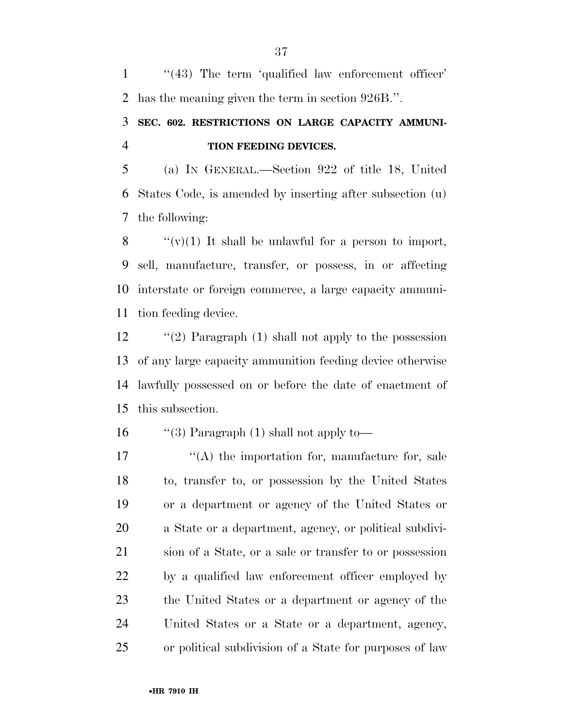1 ''(43) The term 'qualified law enforcement officer' has the meaning given the term in section 926B.''.

# **SEC. 602. RESTRICTIONS ON LARGE CAPACITY AMMUNI-TION FEEDING DEVICES.**

 (a) IN GENERAL.—Section 922 of title 18, United States Code, is amended by inserting after subsection (u) the following:

 $\langle \cdots \rangle$  (v)(1) It shall be unlawful for a person to import, sell, manufacture, transfer, or possess, in or affecting interstate or foreign commerce, a large capacity ammuni-tion feeding device.

 ''(2) Paragraph (1) shall not apply to the possession of any large capacity ammunition feeding device otherwise lawfully possessed on or before the date of enactment of this subsection.

16  $\qquad$  "(3) Paragraph (1) shall not apply to-

 $'$ (A) the importation for, manufacture for, sale to, transfer to, or possession by the United States or a department or agency of the United States or a State or a department, agency, or political subdivi- sion of a State, or a sale or transfer to or possession by a qualified law enforcement officer employed by the United States or a department or agency of the United States or a State or a department, agency, or political subdivision of a State for purposes of law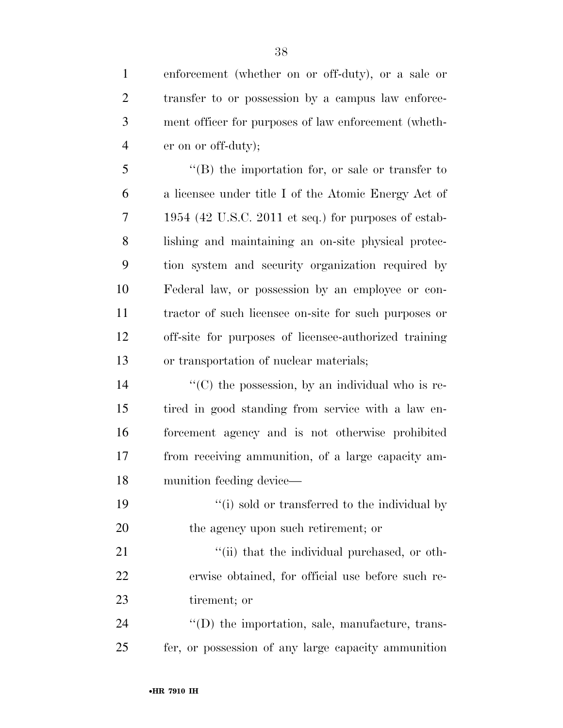enforcement (whether on or off-duty), or a sale or transfer to or possession by a campus law enforce- ment officer for purposes of law enforcement (wheth-er on or off-duty);

 ''(B) the importation for, or sale or transfer to a licensee under title I of the Atomic Energy Act of 1954 (42 U.S.C. 2011 et seq.) for purposes of estab- lishing and maintaining an on-site physical protec- tion system and security organization required by Federal law, or possession by an employee or con- tractor of such licensee on-site for such purposes or off-site for purposes of licensee-authorized training or transportation of nuclear materials;

 $\mathcal{L}^{\prime\prime}(C)$  the possession, by an individual who is re- tired in good standing from service with a law en- forcement agency and is not otherwise prohibited from receiving ammunition, of a large capacity am-munition feeding device—

19 ''(i) sold or transferred to the individual by the agency upon such retirement; or

21  $\frac{1}{10}$  that the individual purchased, or oth- erwise obtained, for official use before such re-tirement; or

24  $\qquad$   $\qquad$   $\qquad$   $\qquad$   $\qquad$   $\qquad$   $\qquad$   $\qquad$   $\qquad$   $\qquad$   $\qquad$   $\qquad$   $\qquad$   $\qquad$   $\qquad$   $\qquad$   $\qquad$   $\qquad$   $\qquad$   $\qquad$   $\qquad$   $\qquad$   $\qquad$   $\qquad$   $\qquad$   $\qquad$   $\qquad$   $\qquad$   $\qquad$   $\qquad$   $\qquad$   $\qquad$   $\qquad$   $\qquad$   $\qquad$   $\qquad$   $\q$ fer, or possession of any large capacity ammunition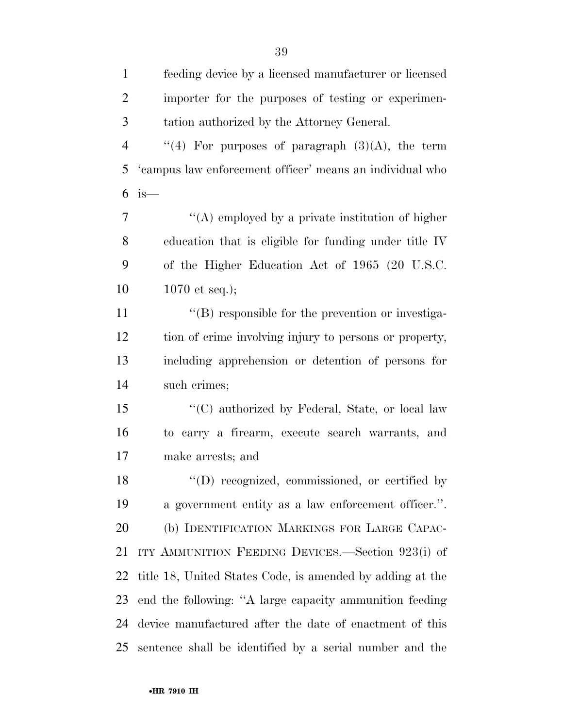| $\mathbf{1}$   | feeding device by a licensed manufacturer or licensed     |
|----------------|-----------------------------------------------------------|
| $\overline{2}$ | importer for the purposes of testing or experimen-        |
| 3              | tation authorized by the Attorney General.                |
| $\overline{4}$ | "(4) For purposes of paragraph $(3)(A)$ , the term        |
| 5              | 'campus law enforcement officer' means an individual who  |
| 6              | $is-$                                                     |
| $\overline{7}$ | "(A) employed by a private institution of higher          |
| 8              | education that is eligible for funding under title IV     |
| 9              | of the Higher Education Act of 1965 (20 U.S.C.            |
| 10             | $1070$ et seq.);                                          |
| 11             | $\lq\lq$ responsible for the prevention or investiga-     |
| 12             | tion of crime involving injury to persons or property,    |
| 13             | including apprehension or detention of persons for        |
| 14             | such crimes;                                              |
| 15             | "(C) authorized by Federal, State, or local law           |
| 16             | to carry a firearm, execute search warrants, and          |
| 17             | make arrests; and                                         |
| 18             | "(D) recognized, commissioned, or certified by            |
| 19             | a government entity as a law enforcement officer.".       |
| 20             | (b) IDENTIFICATION MARKINGS FOR LARGE CAPAC-              |
| 21             | ITY AMMUNITION FEEDING DEVICES.—Section 923(i) of         |
| 22             | title 18, United States Code, is amended by adding at the |
| 23             | end the following: "A large capacity ammunition feeding   |
| 24             | device manufactured after the date of enactment of this   |
| 25             | sentence shall be identified by a serial number and the   |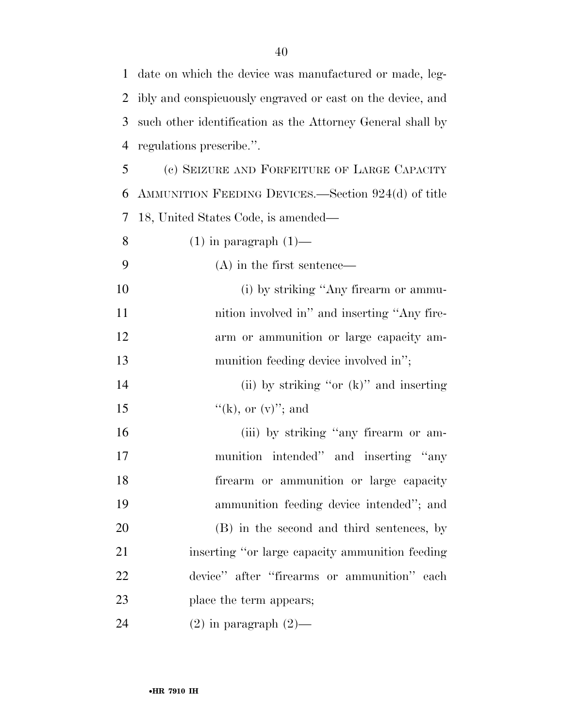|                | 1 date on which the device was manufactured or made, leg-    |
|----------------|--------------------------------------------------------------|
|                | 2 ibly and conspicuously engraved or cast on the device, and |
|                | 3 such other identification as the Attorney General shall by |
|                | 4 regulations prescribe.".                                   |
| 5 <sup>5</sup> | (c) SEIZURE AND FORFEITURE OF LARGE CAPACITY                 |
|                | 6 AMMUNITION FEEDING DEVICES.—Section 924(d) of title        |
|                | 7 18, United States Code, is amended—                        |
| 8              | $(1)$ in paragraph $(1)$ —                                   |

10 (i) by striking "Any firearm or ammu-11 nition involved in" and inserting "Any fire- arm or ammunition or large capacity am-13 munition feeding device involved in"; 14 (ii) by striking "or (k)" and inserting

(A) in the first sentence—

15  $"$ (k), or (v)"; and

16 (iii) by striking "any firearm or am- munition intended'' and inserting ''any firearm or ammunition or large capacity ammunition feeding device intended''; and (B) in the second and third sentences, by inserting ''or large capacity ammunition feeding device'' after ''firearms or ammunition'' each 23 place the term appears;

24 (2) in paragraph  $(2)$ —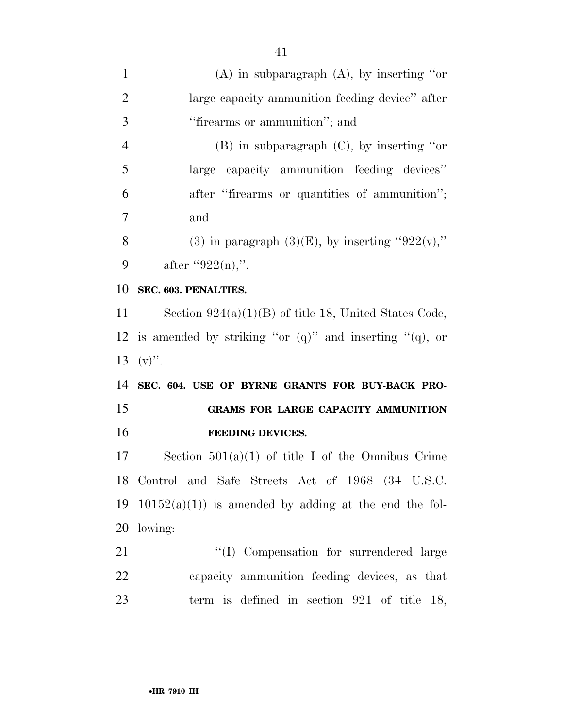| $\mathbf{1}$   | (A) in subparagraph $(A)$ , by inserting "or                     |
|----------------|------------------------------------------------------------------|
| $\overline{2}$ | large capacity ammunition feeding device" after                  |
| 3              | "firearms or ammunition"; and                                    |
| $\overline{4}$ | $(B)$ in subparagraph $(C)$ , by inserting "or                   |
| 5              | large capacity ammunition feeding devices"                       |
| 6              | after "firearms or quantities of ammunition";                    |
| $\overline{7}$ | and                                                              |
| 8              | (3) in paragraph $(3)(E)$ , by inserting "922(v),"               |
| 9              | after "922(n),".                                                 |
| 10             | SEC. 603. PENALTIES.                                             |
| 11             | Section $924(a)(1)(B)$ of title 18, United States Code,          |
|                | 12 is amended by striking "or $(q)$ " and inserting " $(q)$ , or |
|                | 13 (v)".                                                         |
| 14             | SEC. 604. USE OF BYRNE GRANTS FOR BUY-BACK PRO-                  |
| 15             | GRAMS FOR LARGE CAPACITY AMMUNITION                              |
| 16             | <b>FEEDING DEVICES.</b>                                          |
| 17             | Section $501(a)(1)$ of title I of the Omnibus Crime              |
|                | 18 Control and Safe Streets Act of 1968 (34 U.S.C.               |
| 19             | $10152(a)(1)$ is amended by adding at the end the fol-           |
| 20             | lowing:                                                          |
| 21             | "(I) Compensation for surrendered large                          |
| 22             | capacity ammunition feeding devices, as that                     |
|                |                                                                  |

term is defined in section 921 of title 18,